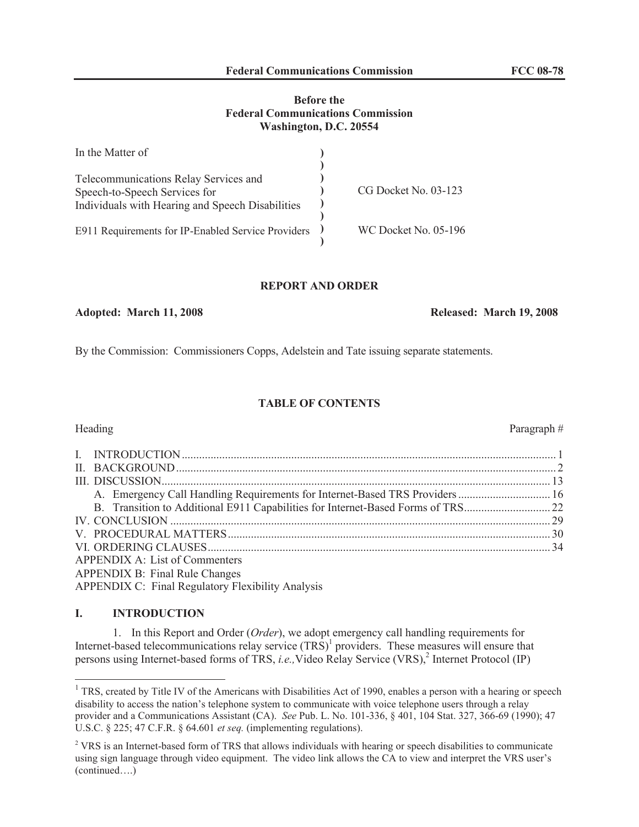### **Before the Federal Communications Commission Washington, D.C. 20554**

| In the Matter of                                   |                      |
|----------------------------------------------------|----------------------|
|                                                    |                      |
| Telecommunications Relay Services and              |                      |
| Speech-to-Speech Services for                      | CG Docket No. 03-123 |
| Individuals with Hearing and Speech Disabilities   |                      |
| E911 Requirements for IP-Enabled Service Providers | WC Docket No. 05-196 |

#### **REPORT AND ORDER**

### **Adopted: March 11, 2008 Released: March 19, 2008**

By the Commission: Commissioners Copps, Adelstein and Tate issuing separate statements.

### **TABLE OF CONTENTS**

### Heading Paragraph #

| A. Emergency Call Handling Requirements for Internet-Based TRS Providers  16 |  |
|------------------------------------------------------------------------------|--|
|                                                                              |  |
|                                                                              |  |
|                                                                              |  |
|                                                                              |  |
| APPENDIX A: List of Commenters                                               |  |
| APPENDIX B: Final Rule Changes                                               |  |
| <b>APPENDIX C: Final Regulatory Flexibility Analysis</b>                     |  |

### **I. INTRODUCTION**

1. In this Report and Order (*Order*), we adopt emergency call handling requirements for Internet-based telecommunications relay service  $(TRS)^1$  providers. These measures will ensure that persons using Internet-based forms of TRS, *i.e.*, Video Relay Service (VRS),<sup>2</sup> Internet Protocol (IP)

<sup>&</sup>lt;sup>1</sup> TRS, created by Title IV of the Americans with Disabilities Act of 1990, enables a person with a hearing or speech disability to access the nation's telephone system to communicate with voice telephone users through a relay provider and a Communications Assistant (CA). *See* Pub. L. No. 101-336, § 401, 104 Stat. 327, 366-69 (1990); 47 U.S.C. § 225; 47 C.F.R. § 64.601 *et seq.* (implementing regulations).

<sup>&</sup>lt;sup>2</sup> VRS is an Internet-based form of TRS that allows individuals with hearing or speech disabilities to communicate using sign language through video equipment. The video link allows the CA to view and interpret the VRS user's (continued….)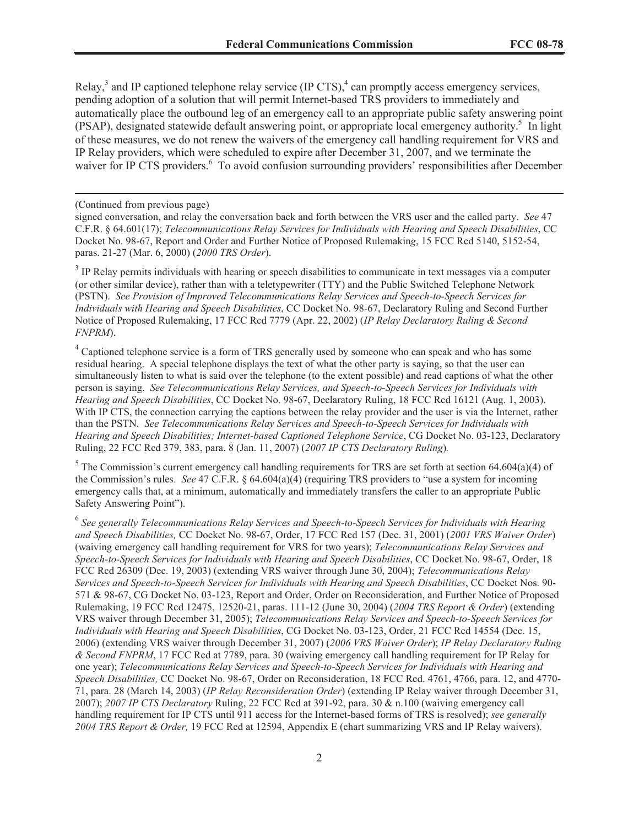Relay,<sup>3</sup> and IP captioned telephone relay service (IP CTS),<sup>4</sup> can promptly access emergency services, pending adoption of a solution that will permit Internet-based TRS providers to immediately and automatically place the outbound leg of an emergency call to an appropriate public safety answering point (PSAP), designated statewide default answering point, or appropriate local emergency authority. 5 In light of these measures, we do not renew the waivers of the emergency call handling requirement for VRS and IP Relay providers, which were scheduled to expire after December 31, 2007, and we terminate the waiver for IP CTS providers.<sup>6</sup> To avoid confusion surrounding providers' responsibilities after December

#### (Continued from previous page)

signed conversation, and relay the conversation back and forth between the VRS user and the called party. *See* 47 C.F.R. § 64.601(17); *Telecommunications Relay Services for Individuals with Hearing and Speech Disabilities*, CC Docket No. 98-67, Report and Order and Further Notice of Proposed Rulemakin*g*, 15 FCC Rcd 5140, 5152-54, paras. 21-27 (Mar. 6, 2000) (*2000 TRS Order*).

 $3$  IP Relay permits individuals with hearing or speech disabilities to communicate in text messages via a computer (or other similar device), rather than with a teletypewriter (TTY) and the Public Switched Telephone Network (PSTN). *See Provision of Improved Telecommunications Relay Services and Speech-to-Speech Services for Individuals with Hearing and Speech Disabilities*, CC Docket No. 98-67, Declaratory Ruling and Second Further Notice of Proposed Rulemaking, 17 FCC Rcd 7779 (Apr. 22, 2002) (*IP Relay Declaratory Ruling & Second FNPRM*).

<sup>4</sup> Captioned telephone service is a form of TRS generally used by someone who can speak and who has some residual hearing. A special telephone displays the text of what the other party is saying, so that the user can simultaneously listen to what is said over the telephone (to the extent possible) and read captions of what the other person is saying. *See Telecommunications Relay Services, and Speech-to-Speech Services for Individuals with Hearing and Speech Disabilities*, CC Docket No. 98-67, Declaratory Ruling, 18 FCC Rcd 16121 (Aug. 1, 2003). With IP CTS, the connection carrying the captions between the relay provider and the user is via the Internet, rather than the PSTN. *See Telecommunications Relay Services and Speech-to-Speech Services for Individuals with Hearing and Speech Disabilities; Internet-based Captioned Telephone Service*, CG Docket No. 03-123, Declaratory Ruling, 22 FCC Rcd 379, 383, para. 8 (Jan. 11, 2007) (*2007 IP CTS Declaratory Ruling*)*.* 

<sup>5</sup> The Commission's current emergency call handling requirements for TRS are set forth at section 64.604(a)(4) of the Commission's rules. *See* 47 C.F.R. § 64.604(a)(4) (requiring TRS providers to "use a system for incoming emergency calls that, at a minimum, automatically and immediately transfers the caller to an appropriate Public Safety Answering Point").

<sup>6</sup> See generally Telecommunications Relay Services and Speech-to-Speech Services for Individuals with Hearing *and Speech Disabilities,* CC Docket No. 98-67, Order, 17 FCC Rcd 157 (Dec. 31, 2001) (*2001 VRS Waiver Order*) (waiving emergency call handling requirement for VRS for two years); *Telecommunications Relay Services and Speech-to-Speech Services for Individuals with Hearing and Speech Disabilities*, CC Docket No. 98-67, Order, 18 FCC Rcd 26309 (Dec. 19, 2003) (extending VRS waiver through June 30, 2004); *Telecommunications Relay Services and Speech-to-Speech Services for Individuals with Hearing and Speech Disabilities*, CC Docket Nos. 90- 571 & 98-67, CG Docket No. 03-123, Report and Order, Order on Reconsideration, and Further Notice of Proposed Rulemaking, 19 FCC Rcd 12475, 12520-21, paras. 111-12 (June 30, 2004) (*2004 TRS Report & Order*) (extending VRS waiver through December 31, 2005); *Telecommunications Relay Services and Speech-to-Speech Services for Individuals with Hearing and Speech Disabilities*, CG Docket No. 03-123, Order, 21 FCC Rcd 14554 (Dec. 15, 2006) (extending VRS waiver through December 31, 2007) (*2006 VRS Waiver Order*); *IP Relay Declaratory Ruling & Second FNPRM*, 17 FCC Rcd at 7789, para. 30 (waiving emergency call handling requirement for IP Relay for one year); *Telecommunications Relay Services and Speech-to-Speech Services for Individuals with Hearing and Speech Disabilities,* CC Docket No. 98-67, Order on Reconsideration, 18 FCC Rcd. 4761, 4766, para. 12, and 4770- 71, para. 28 (March 14, 2003) (*IP Relay Reconsideration Order*) (extending IP Relay waiver through December 31, 2007); *2007 IP CTS Declaratory* Ruling, 22 FCC Rcd at 391-92, para. 30 & n.100 (waiving emergency call handling requirement for IP CTS until 911 access for the Internet-based forms of TRS is resolved); *see generally 2004 TRS Report & Order,* 19 FCC Rcd at 12594, Appendix E (chart summarizing VRS and IP Relay waivers).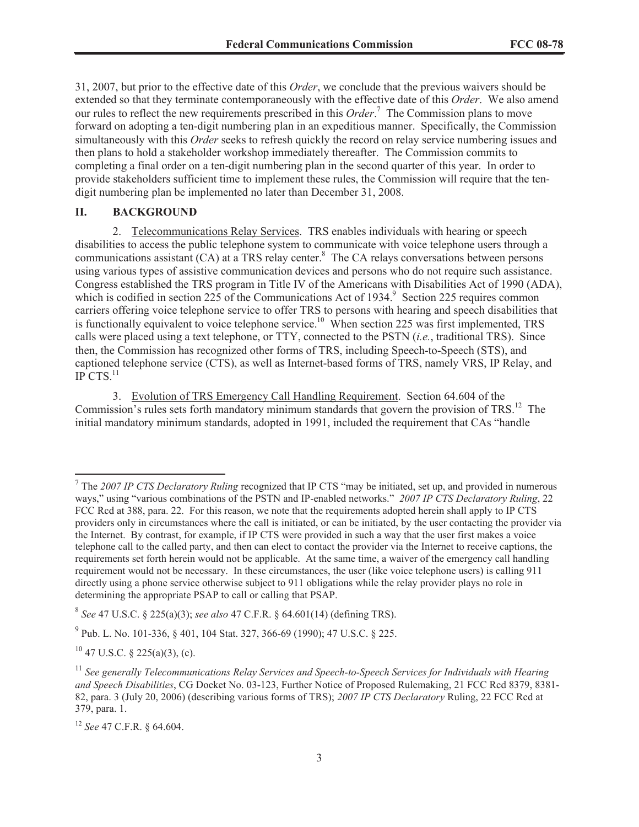31, 2007, but prior to the effective date of this *Order*, we conclude that the previous waivers should be extended so that they terminate contemporaneously with the effective date of this *Order*. We also amend our rules to reflect the new requirements prescribed in this *Order*. <sup>7</sup> The Commission plans to move forward on adopting a ten-digit numbering plan in an expeditious manner. Specifically, the Commission simultaneously with this *Order* seeks to refresh quickly the record on relay service numbering issues and then plans to hold a stakeholder workshop immediately thereafter. The Commission commits to completing a final order on a ten-digit numbering plan in the second quarter of this year. In order to provide stakeholders sufficient time to implement these rules, the Commission will require that the tendigit numbering plan be implemented no later than December 31, 2008.

### **II. BACKGROUND**

2. Telecommunications Relay Services. TRS enables individuals with hearing or speech disabilities to access the public telephone system to communicate with voice telephone users through a communications assistant  $(CA)$  at a TRS relay center.<sup>8</sup> The CA relays conversations between persons using various types of assistive communication devices and persons who do not require such assistance. Congress established the TRS program in Title IV of the Americans with Disabilities Act of 1990 (ADA), which is codified in section  $225$  of the Communications Act of 1934.<sup>9</sup> Section 225 requires common carriers offering voice telephone service to offer TRS to persons with hearing and speech disabilities that is functionally equivalent to voice telephone service.<sup>10</sup> When section 225 was first implemented, TRS calls were placed using a text telephone, or TTY, connected to the PSTN (*i.e.*, traditional TRS). Since then, the Commission has recognized other forms of TRS, including Speech-to-Speech (STS), and captioned telephone service (CTS), as well as Internet-based forms of TRS, namely VRS, IP Relay, and  $IP$  CTS. $^{11}$ 

3. Evolution of TRS Emergency Call Handling Requirement. Section 64.604 of the Commission's rules sets forth mandatory minimum standards that govern the provision of TRS.<sup>12</sup> The initial mandatory minimum standards, adopted in 1991, included the requirement that CAs "handle

 $10$  47 U.S.C. § 225(a)(3), (c).

<sup>7</sup> The *2007 IP CTS Declaratory Ruling* recognized that IP CTS "may be initiated, set up, and provided in numerous ways," using "various combinations of the PSTN and IP-enabled networks." *2007 IP CTS Declaratory Ruling*, 22 FCC Rcd at 388, para. 22. For this reason, we note that the requirements adopted herein shall apply to IP CTS providers only in circumstances where the call is initiated, or can be initiated, by the user contacting the provider via the Internet. By contrast, for example, if IP CTS were provided in such a way that the user first makes a voice telephone call to the called party, and then can elect to contact the provider via the Internet to receive captions, the requirements set forth herein would not be applicable. At the same time, a waiver of the emergency call handling requirement would not be necessary. In these circumstances, the user (like voice telephone users) is calling 911 directly using a phone service otherwise subject to 911 obligations while the relay provider plays no role in determining the appropriate PSAP to call or calling that PSAP.

<sup>8</sup> *See* 47 U.S.C. § 225(a)(3); *see also* 47 C.F.R. § 64.601(14) (defining TRS).

<sup>&</sup>lt;sup>9</sup> Pub. L. No. 101-336, § 401, 104 Stat. 327, 366-69 (1990); 47 U.S.C. § 225.

<sup>&</sup>lt;sup>11</sup> See generally Telecommunications Relay Services and Speech-to-Speech Services for Individuals with Hearing *and Speech Disabilities*, CG Docket No. 03-123, Further Notice of Proposed Rulemaking, 21 FCC Rcd 8379, 8381- 82, para. 3 (July 20, 2006) (describing various forms of TRS); *2007 IP CTS Declaratory* Ruling, 22 FCC Rcd at 379, para. 1.

<sup>12</sup> *See* 47 C.F.R. § 64.604.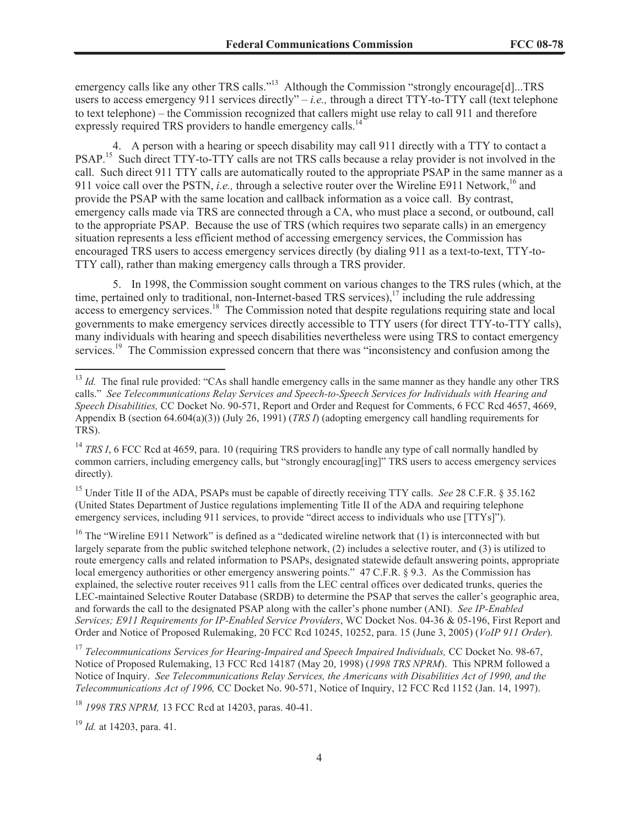emergency calls like any other TRS calls."<sup>13</sup> Although the Commission "strongly encourage[d]...TRS users to access emergency 911 services directly" – *i.e.*, through a direct TTY-to-TTY call (text telephone to text telephone) – the Commission recognized that callers might use relay to call 911 and therefore expressly required TRS providers to handle emergency calls.<sup>14</sup>

4. A person with a hearing or speech disability may call 911 directly with a TTY to contact a PSAP.<sup>15</sup> Such direct TTY-to-TTY calls are not TRS calls because a relay provider is not involved in the call. Such direct 911 TTY calls are automatically routed to the appropriate PSAP in the same manner as a 911 voice call over the PSTN, *i.e.*, through a selective router over the Wireline E911 Network,<sup>16</sup> and provide the PSAP with the same location and callback information as a voice call. By contrast, emergency calls made via TRS are connected through a CA, who must place a second, or outbound, call to the appropriate PSAP. Because the use of TRS (which requires two separate calls) in an emergency situation represents a less efficient method of accessing emergency services, the Commission has encouraged TRS users to access emergency services directly (by dialing 911 as a text-to-text, TTY-to-TTY call), rather than making emergency calls through a TRS provider.

5. In 1998, the Commission sought comment on various changes to the TRS rules (which, at the time, pertained only to traditional, non-Internet-based TRS services),<sup>17</sup> including the rule addressing access to emergency services.<sup>18</sup> The Commission noted that despite regulations requiring state and local governments to make emergency services directly accessible to TTY users (for direct TTY-to-TTY calls), many individuals with hearing and speech disabilities nevertheless were using TRS to contact emergency services.<sup>19</sup> The Commission expressed concern that there was "inconsistency and confusion among the

<sup>15</sup> Under Title II of the ADA, PSAPs must be capable of directly receiving TTY calls. *See* 28 C.F.R. § 35.162 (United States Department of Justice regulations implementing Title II of the ADA and requiring telephone emergency services, including 911 services, to provide "direct access to individuals who use [TTYs]").

<sup>16</sup> The "Wireline E911 Network" is defined as a "dedicated wireline network that  $(1)$  is interconnected with but largely separate from the public switched telephone network, (2) includes a selective router, and (3) is utilized to route emergency calls and related information to PSAPs, designated statewide default answering points, appropriate local emergency authorities or other emergency answering points." 47 C.F.R. § 9.3. As the Commission has explained, the selective router receives 911 calls from the LEC central offices over dedicated trunks, queries the LEC-maintained Selective Router Database (SRDB) to determine the PSAP that serves the caller's geographic area, and forwards the call to the designated PSAP along with the caller's phone number (ANI). *See IP-Enabled Services; E911 Requirements for IP-Enabled Service Providers*, WC Docket Nos. 04-36 & 05-196, First Report and Order and Notice of Proposed Rulemaking, 20 FCC Rcd 10245, 10252, para. 15 (June 3, 2005) (*VoIP 911 Order*).

<sup>17</sup> Telecommunications Services for Hearing-Impaired and Speech Impaired Individuals, CC Docket No. 98-67, Notice of Proposed Rulemaking, 13 FCC Rcd 14187 (May 20, 1998) (*1998 TRS NPRM*). This NPRM followed a Notice of Inquiry. *See Telecommunications Relay Services, the Americans with Disabilities Act of 1990, and the Telecommunications Act of 1996,* CC Docket No. 90-571, Notice of Inquiry, 12 FCC Rcd 1152 (Jan. 14, 1997).

<sup>18</sup> *1998 TRS NPRM,* 13 FCC Rcd at 14203, paras. 40-41.

<sup>19</sup> *Id.* at 14203, para. 41.

<sup>&</sup>lt;sup>13</sup> *Id.* The final rule provided: "CAs shall handle emergency calls in the same manner as they handle any other TRS calls." *See Telecommunications Relay Services and Speech-to-Speech Services for Individuals with Hearing and Speech Disabilities,* CC Docket No. 90-571, Report and Order and Request for Comments, 6 FCC Rcd 4657, 4669, Appendix B (section 64.604(a)(3)) (July 26, 1991) (*TRS I*) (adopting emergency call handling requirements for TRS).

<sup>&</sup>lt;sup>14</sup> *TRS I*, 6 FCC Rcd at 4659, para. 10 (requiring TRS providers to handle any type of call normally handled by common carriers, including emergency calls, but "strongly encourag[ing]" TRS users to access emergency services directly).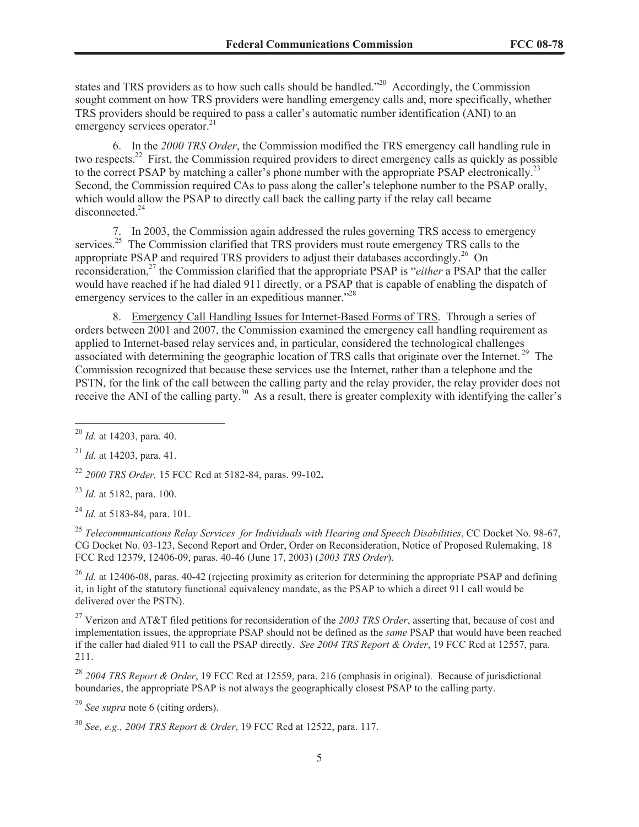states and TRS providers as to how such calls should be handled."<sup>20</sup> Accordingly, the Commission sought comment on how TRS providers were handling emergency calls and, more specifically, whether TRS providers should be required to pass a caller's automatic number identification (ANI) to an emergency services operator.<sup>21</sup>

6. In the *2000 TRS Order*, the Commission modified the TRS emergency call handling rule in two respects.<sup>22</sup> First, the Commission required providers to direct emergency calls as quickly as possible to the correct PSAP by matching a caller's phone number with the appropriate PSAP electronically.<sup>23</sup> Second, the Commission required CAs to pass along the caller's telephone number to the PSAP orally, which would allow the PSAP to directly call back the calling party if the relay call became disconnected.<sup>24</sup>

7. In 2003, the Commission again addressed the rules governing TRS access to emergency services.<sup>25</sup> The Commission clarified that TRS providers must route emergency TRS calls to the appropriate PSAP and required TRS providers to adjust their databases accordingly.<sup>26</sup> On reconsideration,<sup>27</sup> the Commission clarified that the appropriate PSAP is "*either* a PSAP that the caller would have reached if he had dialed 911 directly, or a PSAP that is capable of enabling the dispatch of emergency services to the caller in an expeditious manner."<sup>28</sup>

8. Emergency Call Handling Issues for Internet-Based Forms of TRS. Through a series of orders between 2001 and 2007, the Commission examined the emergency call handling requirement as applied to Internet-based relay services and, in particular, considered the technological challenges associated with determining the geographic location of TRS calls that originate over the Internet. <sup>29</sup> The Commission recognized that because these services use the Internet, rather than a telephone and the PSTN, for the link of the call between the calling party and the relay provider, the relay provider does not receive the ANI of the calling party.<sup>30</sup> As a result, there is greater complexity with identifying the caller's

<sup>25</sup> *Telecommunications Relay Services for Individuals with Hearing and Speech Disabilities*, CC Docket No. 98-67, CG Docket No. 03-123, Second Report and Order, Order on Reconsideration, Notice of Proposed Rulemaking, 18 FCC Rcd 12379, 12406-09, paras. 40-46 (June 17, 2003) (*2003 TRS Order*).

<sup>26</sup> *Id.* at 12406-08, paras, 40-42 (rejecting proximity as criterion for determining the appropriate PSAP and defining it, in light of the statutory functional equivalency mandate, as the PSAP to which a direct 911 call would be delivered over the PSTN).

<sup>27</sup> Verizon and AT&T filed petitions for reconsideration of the *2003 TRS Order*, asserting that, because of cost and implementation issues, the appropriate PSAP should not be defined as the *same* PSAP that would have been reached if the caller had dialed 911 to call the PSAP directly. *See 2004 TRS Report & Order*, 19 FCC Rcd at 12557, para. 211.

<sup>29</sup> *See supra* note 6 (citing orders).

<sup>20</sup> *Id.* at 14203, para. 40.

<sup>21</sup> *Id.* at 14203, para. 41.

<sup>22</sup> *2000 TRS Order,* 15 FCC Rcd at 5182-84, paras. 99-102**.**

<sup>23</sup> *Id.* at 5182, para. 100.

<sup>24</sup> *Id.* at 5183-84, para. 101.

<sup>28</sup> *2004 TRS Report & Order*, 19 FCC Rcd at 12559, para. 216 (emphasis in original). Because of jurisdictional boundaries, the appropriate PSAP is not always the geographically closest PSAP to the calling party.

<sup>30</sup> *See, e.g., 2004 TRS Report & Order*, 19 FCC Rcd at 12522, para. 117.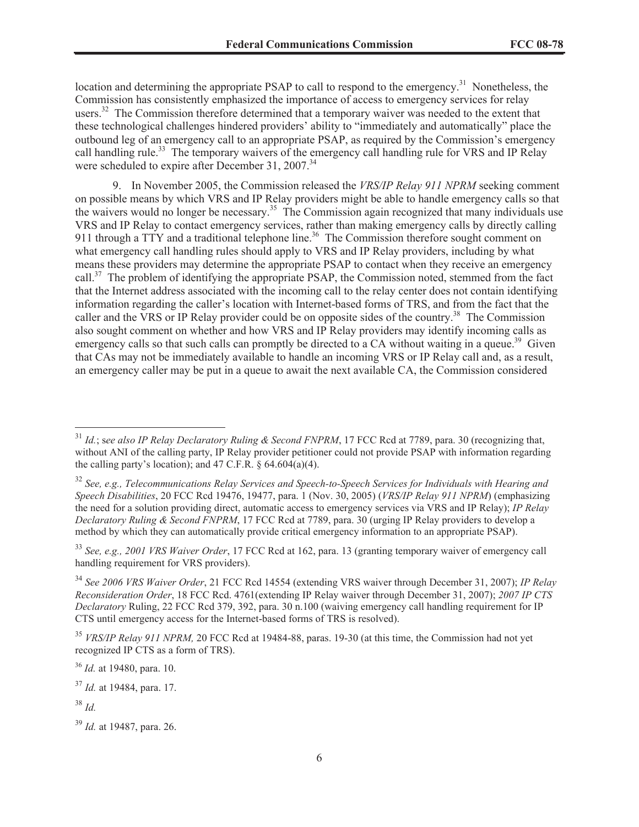location and determining the appropriate PSAP to call to respond to the emergency.<sup>31</sup> Nonetheless, the Commission has consistently emphasized the importance of access to emergency services for relay users.<sup>32</sup> The Commission therefore determined that a temporary waiver was needed to the extent that these technological challenges hindered providers' ability to "immediately and automatically" place the outbound leg of an emergency call to an appropriate PSAP, as required by the Commission's emergency call handling rule.<sup>33</sup> The temporary waivers of the emergency call handling rule for VRS and IP Relay were scheduled to expire after December 31, 2007.<sup>34</sup>

9. In November 2005, the Commission released the *VRS/IP Relay 911 NPRM* seeking comment on possible means by which VRS and IP Relay providers might be able to handle emergency calls so that the waivers would no longer be necessary.<sup>35</sup> The Commission again recognized that many individuals use VRS and IP Relay to contact emergency services, rather than making emergency calls by directly calling 911 through a TTY and a traditional telephone line.<sup>36</sup> The Commission therefore sought comment on what emergency call handling rules should apply to VRS and IP Relay providers, including by what means these providers may determine the appropriate PSAP to contact when they receive an emergency call.<sup>37</sup> The problem of identifying the appropriate PSAP, the Commission noted, stemmed from the fact that the Internet address associated with the incoming call to the relay center does not contain identifying information regarding the caller's location with Internet-based forms of TRS, and from the fact that the caller and the VRS or IP Relay provider could be on opposite sides of the country.<sup>38</sup> The Commission also sought comment on whether and how VRS and IP Relay providers may identify incoming calls as emergency calls so that such calls can promptly be directed to a CA without waiting in a queue.<sup>39</sup> Given that CAs may not be immediately available to handle an incoming VRS or IP Relay call and, as a result, an emergency caller may be put in a queue to await the next available CA, the Commission considered

<sup>37</sup> *Id.* at 19484, para. 17.

<sup>31</sup> *Id.*; s*ee also IP Relay Declaratory Ruling & Second FNPRM*, 17 FCC Rcd at 7789, para. 30 (recognizing that, without ANI of the calling party, IP Relay provider petitioner could not provide PSAP with information regarding the calling party's location); and 47 C.F.R.  $\S$  64.604(a)(4).

<sup>32</sup> *See, e.g., Telecommunications Relay Services and Speech-to-Speech Services for Individuals with Hearing and Speech Disabilities*, 20 FCC Rcd 19476, 19477, para. 1 (Nov. 30, 2005) (*VRS/IP Relay 911 NPRM*) (emphasizing the need for a solution providing direct, automatic access to emergency services via VRS and IP Relay); *IP Relay Declaratory Ruling & Second FNPRM*, 17 FCC Rcd at 7789, para. 30 (urging IP Relay providers to develop a method by which they can automatically provide critical emergency information to an appropriate PSAP).

<sup>33</sup> *See, e.g., 2001 VRS Waiver Order*, 17 FCC Rcd at 162, para. 13 (granting temporary waiver of emergency call handling requirement for VRS providers).

<sup>34</sup> *See 2006 VRS Waiver Order*, 21 FCC Rcd 14554 (extending VRS waiver through December 31, 2007); *IP Relay Reconsideration Order*, 18 FCC Rcd. 4761(extending IP Relay waiver through December 31, 2007); *2007 IP CTS Declaratory* Ruling, 22 FCC Rcd 379, 392, para. 30 n.100 (waiving emergency call handling requirement for IP CTS until emergency access for the Internet-based forms of TRS is resolved).

<sup>35</sup> *VRS/IP Relay 911 NPRM,* 20 FCC Rcd at 19484-88, paras. 19-30 (at this time, the Commission had not yet recognized IP CTS as a form of TRS).

<sup>36</sup> *Id.* at 19480, para. 10.

<sup>38</sup> *Id.*

<sup>39</sup> *Id.* at 19487, para. 26.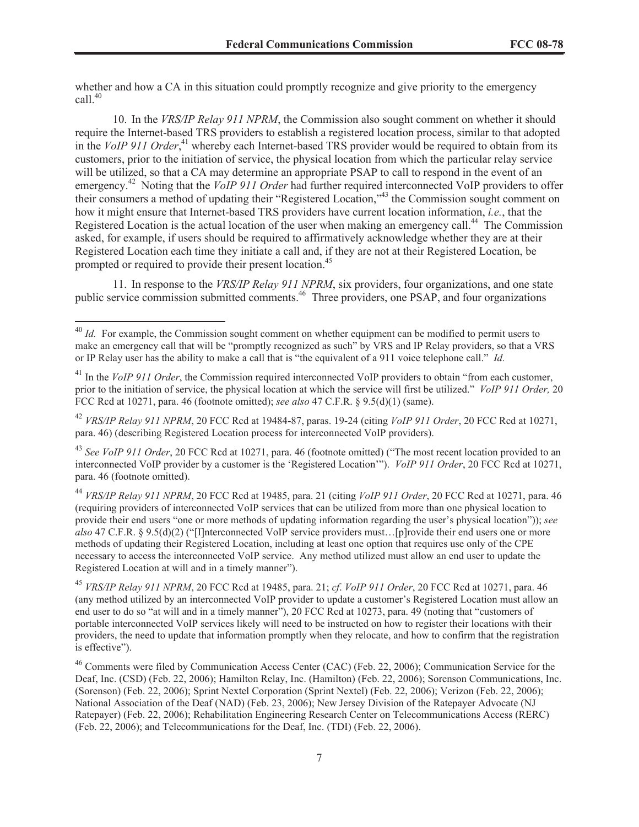whether and how a CA in this situation could promptly recognize and give priority to the emergency call  $40$ 

10. In the *VRS/IP Relay 911 NPRM*, the Commission also sought comment on whether it should require the Internet-based TRS providers to establish a registered location process, similar to that adopted in the *VoIP 911 Order*, <sup>41</sup> whereby each Internet-based TRS provider would be required to obtain from its customers, prior to the initiation of service, the physical location from which the particular relay service will be utilized, so that a CA may determine an appropriate PSAP to call to respond in the event of an emergency.<sup>42</sup> Noting that the *VoIP 911 Order* had further required interconnected VoIP providers to offer their consumers a method of updating their "Registered Location,"<sup>43</sup> the Commission sought comment on how it might ensure that Internet-based TRS providers have current location information, *i.e.*, that the Registered Location is the actual location of the user when making an emergency call.<sup>44</sup> The Commission asked, for example, if users should be required to affirmatively acknowledge whether they are at their Registered Location each time they initiate a call and, if they are not at their Registered Location, be prompted or required to provide their present location.<sup>45</sup>

11. In response to the *VRS/IP Relay 911 NPRM*, six providers, four organizations, and one state public service commission submitted comments.<sup>46</sup> Three providers, one PSAP, and four organizations

<sup>45</sup> *VRS/IP Relay 911 NPRM*, 20 FCC Rcd at 19485, para. 21; *cf*. *VoIP 911 Order*, 20 FCC Rcd at 10271, para. 46 (any method utilized by an interconnected VoIP provider to update a customer's Registered Location must allow an end user to do so "at will and in a timely manner"), 20 FCC Rcd at 10273, para. 49 (noting that "customers of portable interconnected VoIP services likely will need to be instructed on how to register their locations with their providers, the need to update that information promptly when they relocate, and how to confirm that the registration is effective").

 $^{46}$  Comments were filed by Communication Access Center (CAC) (Feb. 22, 2006); Communication Service for the Deaf, Inc. (CSD) (Feb. 22, 2006); Hamilton Relay, Inc. (Hamilton) (Feb. 22, 2006); Sorenson Communications, Inc. (Sorenson) (Feb. 22, 2006); Sprint Nextel Corporation (Sprint Nextel) (Feb. 22, 2006); Verizon (Feb. 22, 2006); National Association of the Deaf (NAD) (Feb. 23, 2006); New Jersey Division of the Ratepayer Advocate (NJ Ratepayer) (Feb. 22, 2006); Rehabilitation Engineering Research Center on Telecommunications Access (RERC) (Feb. 22, 2006); and Telecommunications for the Deaf, Inc. (TDI) (Feb. 22, 2006).

<sup>&</sup>lt;sup>40</sup> *Id.* For example, the Commission sought comment on whether equipment can be modified to permit users to make an emergency call that will be "promptly recognized as such" by VRS and IP Relay providers, so that a VRS or IP Relay user has the ability to make a call that is "the equivalent of a 911 voice telephone call." *Id.*

<sup>&</sup>lt;sup>41</sup> In the *VoIP 911 Order*, the Commission required interconnected VoIP providers to obtain "from each customer, prior to the initiation of service, the physical location at which the service will first be utilized." *VoIP 911 Order,* 20 FCC Rcd at 10271, para. 46 (footnote omitted); *see also* 47 C.F.R. § 9.5(d)(1) (same).

<sup>42</sup> *VRS/IP Relay 911 NPRM*, 20 FCC Rcd at 19484-87, paras. 19-24 (citing *VoIP 911 Order*, 20 FCC Rcd at 10271, para. 46) (describing Registered Location process for interconnected VoIP providers).

<sup>&</sup>lt;sup>43</sup> See VoIP 911 Order, 20 FCC Rcd at 10271, para. 46 (footnote omitted) ("The most recent location provided to an interconnected VoIP provider by a customer is the 'Registered Location'"). *VoIP 911 Order*, 20 FCC Rcd at 10271, para. 46 (footnote omitted).

<sup>44</sup> *VRS/IP Relay 911 NPRM*, 20 FCC Rcd at 19485, para. 21 (citing *VoIP 911 Order*, 20 FCC Rcd at 10271, para. 46 (requiring providers of interconnected VoIP services that can be utilized from more than one physical location to provide their end users "one or more methods of updating information regarding the user's physical location")); *see also* 47 C.F.R. § 9.5(d)(2) ("[I]nterconnected VoIP service providers must…[p]rovide their end users one or more methods of updating their Registered Location, including at least one option that requires use only of the CPE necessary to access the interconnected VoIP service. Any method utilized must allow an end user to update the Registered Location at will and in a timely manner").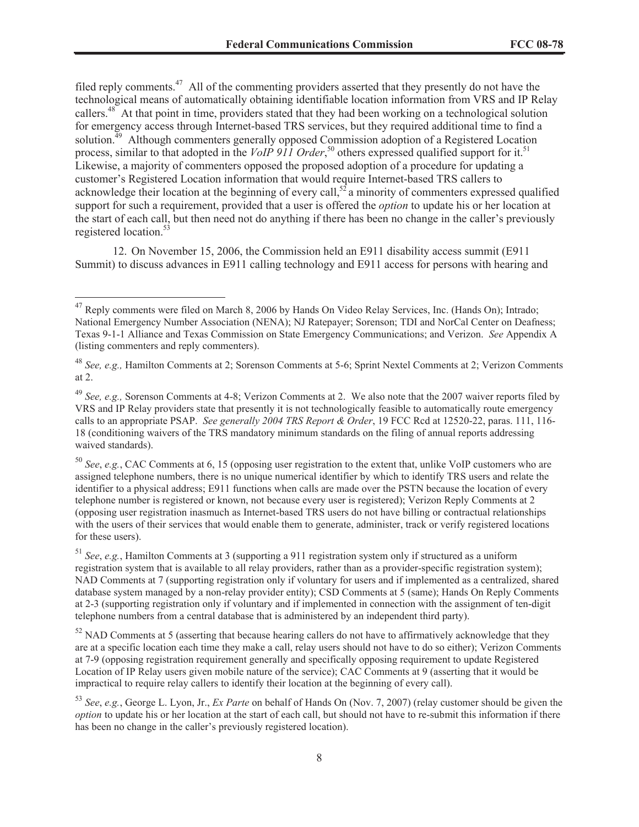filed reply comments.<sup>47</sup> All of the commenting providers asserted that they presently do not have the technological means of automatically obtaining identifiable location information from VRS and IP Relay callers.<sup>48</sup> At that point in time, providers stated that they had been working on a technological solution for emergency access through Internet-based TRS services, but they required additional time to find a solution.<sup>49</sup> Although commenters generally opposed Commission adoption of a Registered Location process, similar to that adopted in the *VoIP 911 Order*,<sup>50</sup> others expressed qualified support for it.<sup>51</sup> Likewise, a majority of commenters opposed the proposed adoption of a procedure for updating a customer's Registered Location information that would require Internet-based TRS callers to acknowledge their location at the beginning of every call,<sup>52</sup> a minority of commenters expressed qualified support for such a requirement, provided that a user is offered the *option* to update his or her location at the start of each call, but then need not do anything if there has been no change in the caller's previously registered location.<sup>53</sup>

12. On November 15, 2006, the Commission held an E911 disability access summit (E911 Summit) to discuss advances in E911 calling technology and E911 access for persons with hearing and

<sup>47</sup> Reply comments were filed on March 8, 2006 by Hands On Video Relay Services, Inc. (Hands On); Intrado; National Emergency Number Association (NENA); NJ Ratepayer; Sorenson; TDI and NorCal Center on Deafness; Texas 9-1-1 Alliance and Texas Commission on State Emergency Communications; and Verizon. *See* Appendix A (listing commenters and reply commenters).

<sup>48</sup> *See, e.g.,* Hamilton Comments at 2; Sorenson Comments at 5-6; Sprint Nextel Comments at 2; Verizon Comments at 2.

<sup>49</sup> *See, e.g.,* Sorenson Comments at 4-8; Verizon Comments at 2. We also note that the 2007 waiver reports filed by VRS and IP Relay providers state that presently it is not technologically feasible to automatically route emergency calls to an appropriate PSAP. *See generally 2004 TRS Report & Order*, 19 FCC Rcd at 12520-22, paras. 111, 116- 18 (conditioning waivers of the TRS mandatory minimum standards on the filing of annual reports addressing waived standards).

<sup>50</sup> *See*, *e.g.*, CAC Comments at 6, 15 (opposing user registration to the extent that, unlike VoIP customers who are assigned telephone numbers, there is no unique numerical identifier by which to identify TRS users and relate the identifier to a physical address; E911 functions when calls are made over the PSTN because the location of every telephone number is registered or known, not because every user is registered); Verizon Reply Comments at 2 (opposing user registration inasmuch as Internet-based TRS users do not have billing or contractual relationships with the users of their services that would enable them to generate, administer, track or verify registered locations for these users).

<sup>51</sup> *See*, *e.g.*, Hamilton Comments at 3 (supporting a 911 registration system only if structured as a uniform registration system that is available to all relay providers, rather than as a provider-specific registration system); NAD Comments at 7 (supporting registration only if voluntary for users and if implemented as a centralized, shared database system managed by a non-relay provider entity); CSD Comments at 5 (same); Hands On Reply Comments at 2-3 (supporting registration only if voluntary and if implemented in connection with the assignment of ten-digit telephone numbers from a central database that is administered by an independent third party).

 $52$  NAD Comments at 5 (asserting that because hearing callers do not have to affirmatively acknowledge that they are at a specific location each time they make a call, relay users should not have to do so either); Verizon Comments at 7-9 (opposing registration requirement generally and specifically opposing requirement to update Registered Location of IP Relay users given mobile nature of the service); CAC Comments at 9 (asserting that it would be impractical to require relay callers to identify their location at the beginning of every call).

<sup>53</sup> *See*, *e.g.*, George L. Lyon, Jr., *Ex Parte* on behalf of Hands On (Nov. 7, 2007) (relay customer should be given the *option* to update his or her location at the start of each call, but should not have to re-submit this information if there has been no change in the caller's previously registered location).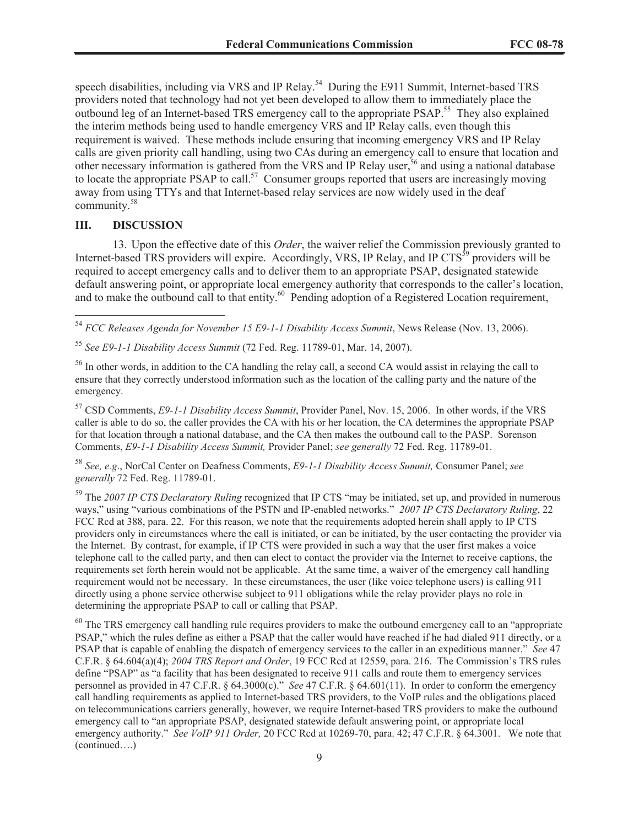speech disabilities, including via VRS and IP Relay.<sup>54</sup> During the E911 Summit, Internet-based TRS providers noted that technology had not yet been developed to allow them to immediately place the outbound leg of an Internet-based TRS emergency call to the appropriate PSAP.<sup>55</sup> They also explained the interim methods being used to handle emergency VRS and IP Relay calls, even though this requirement is waived. These methods include ensuring that incoming emergency VRS and IP Relay calls are given priority call handling, using two CAs during an emergency call to ensure that location and other necessary information is gathered from the VRS and IP Relay user,<sup>56</sup> and using a national database to locate the appropriate PSAP to call.<sup>57</sup> Consumer groups reported that users are increasingly moving away from using TTYs and that Internet-based relay services are now widely used in the deaf community.<sup>58</sup>

### **III. DISCUSSION**

13. Upon the effective date of this *Order*, the waiver relief the Commission previously granted to Internet-based TRS providers will expire. Accordingly, VRS, IP Relay, and IP CTS<sup>59</sup> providers will be required to accept emergency calls and to deliver them to an appropriate PSAP, designated statewide default answering point, or appropriate local emergency authority that corresponds to the caller's location, and to make the outbound call to that entity.<sup>60</sup> Pending adoption of a Registered Location requirement,

<sup>54</sup> *FCC Releases Agenda for November 15 E9-1-1 Disability Access Summit*, News Release (Nov. 13, 2006).

<sup>55</sup> *See E9-1-1 Disability Access Summit* (72 Fed. Reg. 11789-01, Mar. 14, 2007).

<sup>56</sup> In other words, in addition to the CA handling the relay call, a second CA would assist in relaying the call to ensure that they correctly understood information such as the location of the calling party and the nature of the emergency.

<sup>57</sup> CSD Comments, *E9-1-1 Disability Access Summit*, Provider Panel, Nov. 15, 2006. In other words, if the VRS caller is able to do so, the caller provides the CA with his or her location, the CA determines the appropriate PSAP for that location through a national database, and the CA then makes the outbound call to the PASP. Sorenson Comments, *E9-1-1 Disability Access Summit,* Provider Panel; *see generally* 72 Fed. Reg. 11789-01.

<sup>58</sup> *See, e.g*., NorCal Center on Deafness Comments, *E9-1-1 Disability Access Summit,* Consumer Panel; *see generally* 72 Fed. Reg. 11789-01.

<sup>59</sup> The *2007 IP CTS Declaratory Ruling* recognized that IP CTS "may be initiated, set up, and provided in numerous ways," using "various combinations of the PSTN and IP-enabled networks." *2007 IP CTS Declaratory Ruling*, 22 FCC Rcd at 388, para. 22. For this reason, we note that the requirements adopted herein shall apply to IP CTS providers only in circumstances where the call is initiated, or can be initiated, by the user contacting the provider via the Internet. By contrast, for example, if IP CTS were provided in such a way that the user first makes a voice telephone call to the called party, and then can elect to contact the provider via the Internet to receive captions, the requirements set forth herein would not be applicable. At the same time, a waiver of the emergency call handling requirement would not be necessary. In these circumstances, the user (like voice telephone users) is calling 911 directly using a phone service otherwise subject to 911 obligations while the relay provider plays no role in determining the appropriate PSAP to call or calling that PSAP.

<sup>60</sup> The TRS emergency call handling rule requires providers to make the outbound emergency call to an "appropriate" PSAP," which the rules define as either a PSAP that the caller would have reached if he had dialed 911 directly, or a PSAP that is capable of enabling the dispatch of emergency services to the caller in an expeditious manner." *See* 47 C.F.R. § 64.604(a)(4); *2004 TRS Report and Order*, 19 FCC Rcd at 12559, para. 216. The Commission's TRS rules define "PSAP" as "a facility that has been designated to receive 911 calls and route them to emergency services personnel as provided in 47 C.F.R. § 64.3000(c)." *See* 47 C.F.R. § 64.601(11). In order to conform the emergency call handling requirements as applied to Internet-based TRS providers, to the VoIP rules and the obligations placed on telecommunications carriers generally, however, we require Internet-based TRS providers to make the outbound emergency call to "an appropriate PSAP, designated statewide default answering point, or appropriate local emergency authority." *See VoIP 911 Order,* 20 FCC Rcd at 10269-70, para. 42; 47 C.F.R. § 64.3001. We note that (continued….)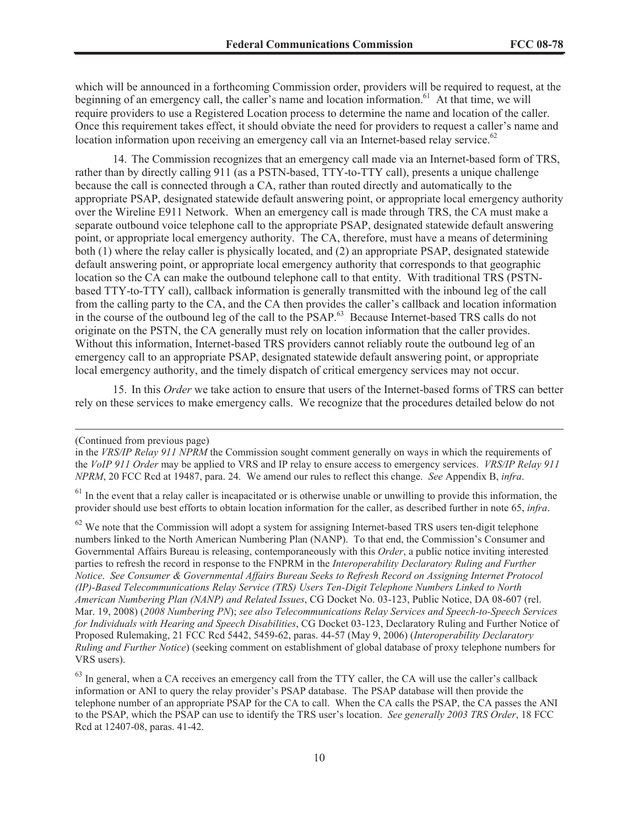which will be announced in a forthcoming Commission order, providers will be required to request, at the beginning of an emergency call, the caller's name and location information.<sup>61</sup> At that time, we will require providers to use a Registered Location process to determine the name and location of the caller. Once this requirement takes effect, it should obviate the need for providers to request a caller's name and location information upon receiving an emergency call via an Internet-based relay service.<sup>62</sup>

14. The Commission recognizes that an emergency call made via an Internet-based form of TRS, rather than by directly calling 911 (as a PSTN-based, TTY-to-TTY call), presents a unique challenge because the call is connected through a CA, rather than routed directly and automatically to the appropriate PSAP, designated statewide default answering point, or appropriate local emergency authority over the Wireline E911 Network. When an emergency call is made through TRS, the CA must make a separate outbound voice telephone call to the appropriate PSAP, designated statewide default answering point, or appropriate local emergency authority. The CA, therefore, must have a means of determining both (1) where the relay caller is physically located, and (2) an appropriate PSAP, designated statewide default answering point, or appropriate local emergency authority that corresponds to that geographic location so the CA can make the outbound telephone call to that entity. With traditional TRS (PSTNbased TTY-to-TTY call), callback information is generally transmitted with the inbound leg of the call from the calling party to the CA, and the CA then provides the caller's callback and location information in the course of the outbound leg of the call to the PSAP.<sup>63</sup> Because Internet-based TRS calls do not originate on the PSTN, the CA generally must rely on location information that the caller provides. Without this information, Internet-based TRS providers cannot reliably route the outbound leg of an emergency call to an appropriate PSAP, designated statewide default answering point, or appropriate local emergency authority, and the timely dispatch of critical emergency services may not occur.

15. In this *Order* we take action to ensure that users of the Internet-based forms of TRS can better rely on these services to make emergency calls. We recognize that the procedures detailed below do not

<sup>(</sup>Continued from previous page)

in the *VRS/IP Relay 911 NPRM* the Commission sought comment generally on ways in which the requirements of the *VoIP 911 Order* may be applied to VRS and IP relay to ensure access to emergency services. *VRS/IP Relay 911 NPRM*, 20 FCC Rcd at 19487, para. 24. We amend our rules to reflect this change. *See* Appendix B, *infra*.

 $<sup>61</sup>$  In the event that a relay caller is incapacitated or is otherwise unable or unwilling to provide this information, the</sup> provider should use best efforts to obtain location information for the caller, as described further in note 65, *infra*.

<sup>&</sup>lt;sup>62</sup> We note that the Commission will adopt a system for assigning Internet-based TRS users ten-digit telephone numbers linked to the North American Numbering Plan (NANP). To that end, the Commission's Consumer and Governmental Affairs Bureau is releasing, contemporaneously with this *Order*, a public notice inviting interested parties to refresh the record in response to the FNPRM in the *Interoperability Declaratory Ruling and Further Notice*. *See Consumer & Governmental Affairs Bureau Seeks to Refresh Record on Assigning Internet Protocol (IP)-Based Telecommunications Relay Service (TRS) Users Ten-Digit Telephone Numbers Linked to North American Numbering Plan (NANP) and Related Issues*, CG Docket No. 03-123, Public Notice, DA 08-607 (rel. Mar. 19, 2008) (*2008 Numbering PN*); *see also Telecommunications Relay Services and Speech-to-Speech Services for Individuals with Hearing and Speech Disabilities*, CG Docket 03-123, Declaratory Ruling and Further Notice of Proposed Rulemaking, 21 FCC Rcd 5442, 5459-62, paras. 44-57 (May 9, 2006) (*Interoperability Declaratory Ruling and Further Notice*) (seeking comment on establishment of global database of proxy telephone numbers for VRS users).

<sup>&</sup>lt;sup>63</sup> In general, when a CA receives an emergency call from the TTY caller, the CA will use the caller's callback information or ANI to query the relay provider's PSAP database. The PSAP database will then provide the telephone number of an appropriate PSAP for the CA to call. When the CA calls the PSAP, the CA passes the ANI to the PSAP, which the PSAP can use to identify the TRS user's location. *See generally 2003 TRS Order*, 18 FCC Rcd at 12407-08, paras. 41-42.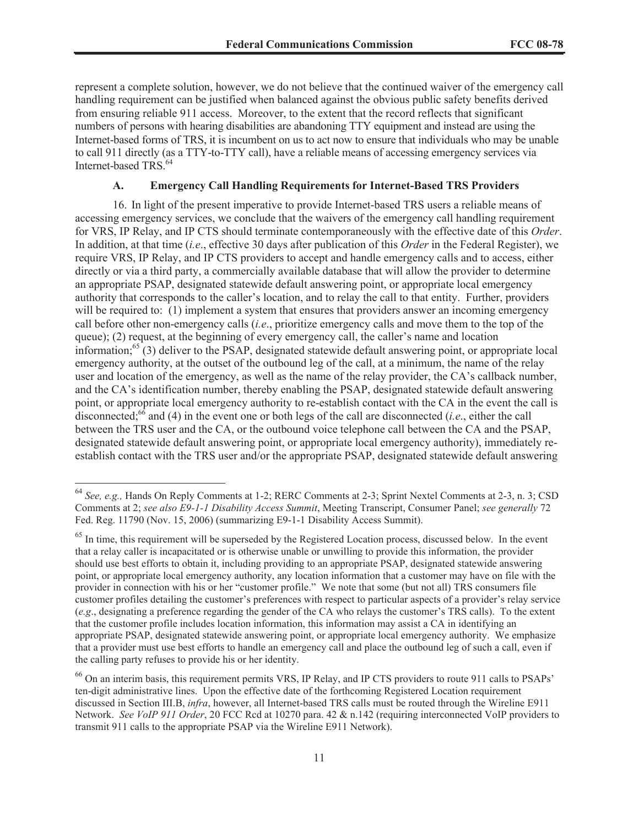represent a complete solution, however, we do not believe that the continued waiver of the emergency call handling requirement can be justified when balanced against the obvious public safety benefits derived from ensuring reliable 911 access. Moreover, to the extent that the record reflects that significant numbers of persons with hearing disabilities are abandoning TTY equipment and instead are using the Internet-based forms of TRS, it is incumbent on us to act now to ensure that individuals who may be unable to call 911 directly (as a TTY-to-TTY call), have a reliable means of accessing emergency services via Internet-based TRS.<sup>64</sup>

### **A. Emergency Call Handling Requirements for Internet-Based TRS Providers**

16. In light of the present imperative to provide Internet-based TRS users a reliable means of accessing emergency services, we conclude that the waivers of the emergency call handling requirement for VRS, IP Relay, and IP CTS should terminate contemporaneously with the effective date of this *Order*. In addition, at that time (*i.e*., effective 30 days after publication of this *Order* in the Federal Register), we require VRS, IP Relay, and IP CTS providers to accept and handle emergency calls and to access, either directly or via a third party, a commercially available database that will allow the provider to determine an appropriate PSAP, designated statewide default answering point, or appropriate local emergency authority that corresponds to the caller's location, and to relay the call to that entity. Further, providers will be required to: (1) implement a system that ensures that providers answer an incoming emergency call before other non-emergency calls (*i.e*., prioritize emergency calls and move them to the top of the queue); (2) request, at the beginning of every emergency call, the caller's name and location information; $65(3)$  deliver to the PSAP, designated statewide default answering point, or appropriate local emergency authority, at the outset of the outbound leg of the call, at a minimum, the name of the relay user and location of the emergency, as well as the name of the relay provider, the CA's callback number, and the CA's identification number, thereby enabling the PSAP, designated statewide default answering point, or appropriate local emergency authority to re-establish contact with the CA in the event the call is disconnected;<sup>66</sup> and (4) in the event one or both legs of the call are disconnected (*i.e*., either the call between the TRS user and the CA, or the outbound voice telephone call between the CA and the PSAP, designated statewide default answering point, or appropriate local emergency authority), immediately reestablish contact with the TRS user and/or the appropriate PSAP, designated statewide default answering

<sup>64</sup> *See, e.g.,* Hands On Reply Comments at 1-2; RERC Comments at 2-3; Sprint Nextel Comments at 2-3, n. 3; CSD Comments at 2; *see also E9-1-1 Disability Access Summit*, Meeting Transcript, Consumer Panel; *see generally* 72 Fed. Reg. 11790 (Nov. 15, 2006) (summarizing E9-1-1 Disability Access Summit).

 $<sup>65</sup>$  In time, this requirement will be superseded by the Registered Location process, discussed below. In the event</sup> that a relay caller is incapacitated or is otherwise unable or unwilling to provide this information, the provider should use best efforts to obtain it, including providing to an appropriate PSAP, designated statewide answering point, or appropriate local emergency authority, any location information that a customer may have on file with the provider in connection with his or her "customer profile." We note that some (but not all) TRS consumers file customer profiles detailing the customer's preferences with respect to particular aspects of a provider's relay service (*e.g*., designating a preference regarding the gender of the CA who relays the customer's TRS calls). To the extent that the customer profile includes location information, this information may assist a CA in identifying an appropriate PSAP, designated statewide answering point, or appropriate local emergency authority. We emphasize that a provider must use best efforts to handle an emergency call and place the outbound leg of such a call, even if the calling party refuses to provide his or her identity.

<sup>&</sup>lt;sup>66</sup> On an interim basis, this requirement permits VRS, IP Relay, and IP CTS providers to route 911 calls to PSAPs' ten-digit administrative lines. Upon the effective date of the forthcoming Registered Location requirement discussed in Section III.B, *infra*, however, all Internet-based TRS calls must be routed through the Wireline E911 Network. *See VoIP 911 Order*, 20 FCC Rcd at 10270 para. 42 & n.142 (requiring interconnected VoIP providers to transmit 911 calls to the appropriate PSAP via the Wireline E911 Network).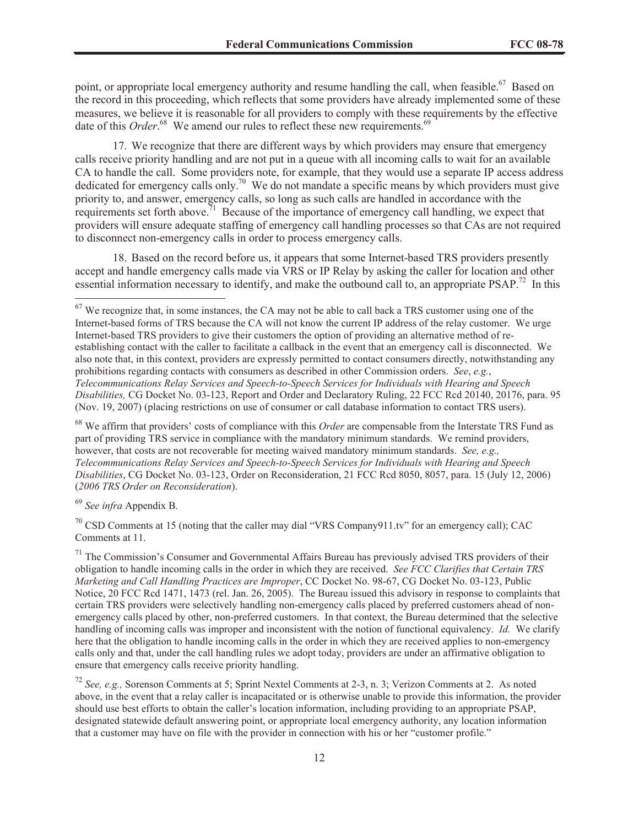point, or appropriate local emergency authority and resume handling the call, when feasible.<sup>67</sup> Based on the record in this proceeding, which reflects that some providers have already implemented some of these measures, we believe it is reasonable for all providers to comply with these requirements by the effective date of this *Order*.<sup>68</sup> We amend our rules to reflect these new requirements.<sup>69</sup>

17. We recognize that there are different ways by which providers may ensure that emergency calls receive priority handling and are not put in a queue with all incoming calls to wait for an available CA to handle the call. Some providers note, for example, that they would use a separate IP access address dedicated for emergency calls only.<sup>70</sup> We do not mandate a specific means by which providers must give priority to, and answer, emergency calls, so long as such calls are handled in accordance with the requirements set forth above.<sup>71</sup> Because of the importance of emergency call handling, we expect that providers will ensure adequate staffing of emergency call handling processes so that CAs are not required to disconnect non-emergency calls in order to process emergency calls.

18. Based on the record before us, it appears that some Internet-based TRS providers presently accept and handle emergency calls made via VRS or IP Relay by asking the caller for location and other essential information necessary to identify, and make the outbound call to, an appropriate PSAP.<sup>72</sup> In this

<sup>68</sup> We affirm that providers' costs of compliance with this *Order* are compensable from the Interstate TRS Fund as part of providing TRS service in compliance with the mandatory minimum standards. We remind providers, however, that costs are not recoverable for meeting waived mandatory minimum standards. *See, e.g.*, *Telecommunications Relay Services and Speech-to-Speech Services for Individuals with Hearing and Speech Disabilities*, CG Docket No. 03-123, Order on Reconsideration, 21 FCC Rcd 8050, 8057, para. 15 (July 12, 2006) (*2006 TRS Order on Reconsideration*).

<sup>69</sup> *See infra* Appendix B*.*

 $70$  CSD Comments at 15 (noting that the caller may dial "VRS Company911.tv" for an emergency call); CAC Comments at 11.

 $67$  We recognize that, in some instances, the CA may not be able to call back a TRS customer using one of the Internet-based forms of TRS because the CA will not know the current IP address of the relay customer. We urge Internet-based TRS providers to give their customers the option of providing an alternative method of reestablishing contact with the caller to facilitate a callback in the event that an emergency call is disconnected. We also note that, in this context, providers are expressly permitted to contact consumers directly, notwithstanding any prohibitions regarding contacts with consumers as described in other Commission orders. *See*, *e.g.*, *Telecommunications Relay Services and Speech-to-Speech Services for Individuals with Hearing and Speech Disabilities,* CG Docket No. 03-123, Report and Order and Declaratory Ruling, 22 FCC Rcd 20140, 20176, para. 95 (Nov. 19, 2007) (placing restrictions on use of consumer or call database information to contact TRS users).

 $71$  The Commission's Consumer and Governmental Affairs Bureau has previously advised TRS providers of their obligation to handle incoming calls in the order in which they are received. *See FCC Clarifies that Certain TRS Marketing and Call Handling Practices are Improper*, CC Docket No. 98-67, CG Docket No. 03-123, Public Notice, 20 FCC Rcd 1471, 1473 (rel. Jan. 26, 2005). The Bureau issued this advisory in response to complaints that certain TRS providers were selectively handling non-emergency calls placed by preferred customers ahead of nonemergency calls placed by other, non-preferred customers. In that context, the Bureau determined that the selective handling of incoming calls was improper and inconsistent with the notion of functional equivalency. *Id.* We clarify here that the obligation to handle incoming calls in the order in which they are received applies to non-emergency calls only and that, under the call handling rules we adopt today, providers are under an affirmative obligation to ensure that emergency calls receive priority handling.

<sup>72</sup> *See, e.g.,* Sorenson Comments at 5; Sprint Nextel Comments at 2-3, n. 3; Verizon Comments at 2. As noted above, in the event that a relay caller is incapacitated or is otherwise unable to provide this information, the provider should use best efforts to obtain the caller's location information, including providing to an appropriate PSAP, designated statewide default answering point, or appropriate local emergency authority, any location information that a customer may have on file with the provider in connection with his or her "customer profile."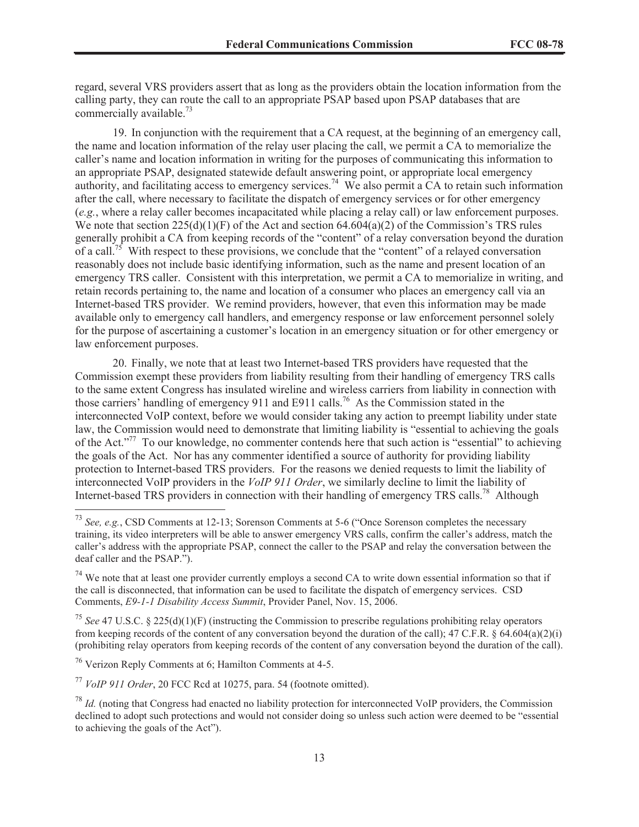regard, several VRS providers assert that as long as the providers obtain the location information from the calling party, they can route the call to an appropriate PSAP based upon PSAP databases that are commercially available. $^{73}$ 

19. In conjunction with the requirement that a CA request, at the beginning of an emergency call, the name and location information of the relay user placing the call, we permit a CA to memorialize the caller's name and location information in writing for the purposes of communicating this information to an appropriate PSAP, designated statewide default answering point, or appropriate local emergency authority, and facilitating access to emergency services.<sup>74</sup> We also permit a CA to retain such information after the call, where necessary to facilitate the dispatch of emergency services or for other emergency (*e.g.*, where a relay caller becomes incapacitated while placing a relay call) or law enforcement purposes. We note that section  $225(d)(1)(F)$  of the Act and section  $64.604(a)(2)$  of the Commission's TRS rules generally prohibit a CA from keeping records of the "content" of a relay conversation beyond the duration of a call.<sup>75</sup> With respect to these provisions, we conclude that the "content" of a relayed conversation reasonably does not include basic identifying information, such as the name and present location of an emergency TRS caller. Consistent with this interpretation, we permit a CA to memorialize in writing, and retain records pertaining to, the name and location of a consumer who places an emergency call via an Internet-based TRS provider. We remind providers, however, that even this information may be made available only to emergency call handlers, and emergency response or law enforcement personnel solely for the purpose of ascertaining a customer's location in an emergency situation or for other emergency or law enforcement purposes.

20. Finally, we note that at least two Internet-based TRS providers have requested that the Commission exempt these providers from liability resulting from their handling of emergency TRS calls to the same extent Congress has insulated wireline and wireless carriers from liability in connection with those carriers' handling of emergency 911 and E911 calls.<sup>76</sup> As the Commission stated in the interconnected VoIP context, before we would consider taking any action to preempt liability under state law, the Commission would need to demonstrate that limiting liability is "essential to achieving the goals of the Act."<sup>77</sup> To our knowledge, no commenter contends here that such action is "essential" to achieving the goals of the Act. Nor has any commenter identified a source of authority for providing liability protection to Internet-based TRS providers. For the reasons we denied requests to limit the liability of interconnected VoIP providers in the *VoIP 911 Order*, we similarly decline to limit the liability of Internet-based TRS providers in connection with their handling of emergency TRS calls.<sup>78</sup> Although

<sup>76</sup> Verizon Reply Comments at 6; Hamilton Comments at 4-5.

<sup>77</sup> *VoIP 911 Order*, 20 FCC Rcd at 10275, para. 54 (footnote omitted).

<sup>73</sup> *See, e.g.*, CSD Comments at 12-13; Sorenson Comments at 5-6 ("Once Sorenson completes the necessary training, its video interpreters will be able to answer emergency VRS calls, confirm the caller's address, match the caller's address with the appropriate PSAP, connect the caller to the PSAP and relay the conversation between the deaf caller and the PSAP.").

 $74$  We note that at least one provider currently employs a second CA to write down essential information so that if the call is disconnected, that information can be used to facilitate the dispatch of emergency services. CSD Comments, *E9-1-1 Disability Access Summit*, Provider Panel, Nov. 15, 2006.

<sup>75</sup> *See* 47 U.S.C. § 225(d)(1)(F) (instructing the Commission to prescribe regulations prohibiting relay operators from keeping records of the content of any conversation beyond the duration of the call); 47 C.F.R. § 64.604(a)(2)(i) (prohibiting relay operators from keeping records of the content of any conversation beyond the duration of the call).

<sup>78</sup> *Id.* (noting that Congress had enacted no liability protection for interconnected VoIP providers, the Commission declined to adopt such protections and would not consider doing so unless such action were deemed to be "essential to achieving the goals of the Act").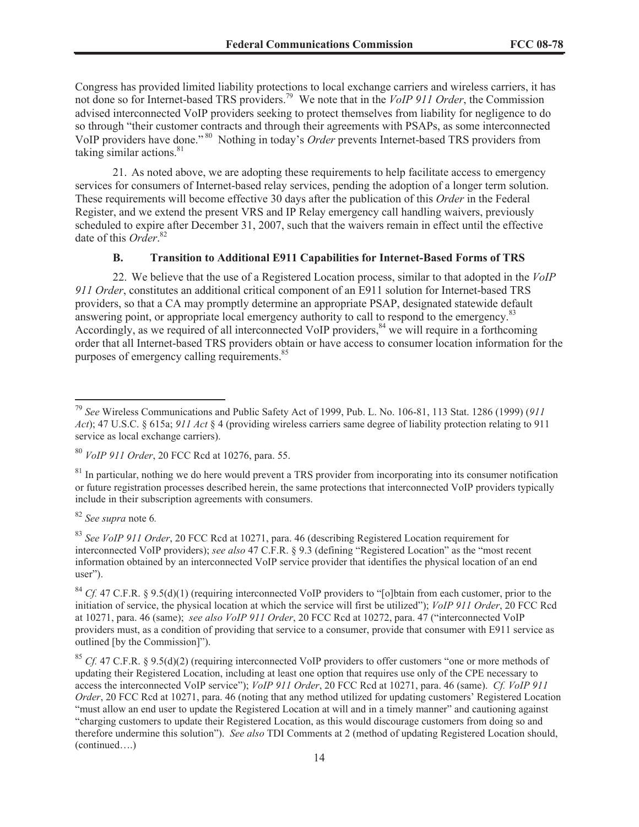Congress has provided limited liability protections to local exchange carriers and wireless carriers, it has not done so for Internet-based TRS providers.<sup>79</sup> We note that in the *VoIP 911 Order*, the Commission advised interconnected VoIP providers seeking to protect themselves from liability for negligence to do so through "their customer contracts and through their agreements with PSAPs, as some interconnected VoIP providers have done." <sup>80</sup> Nothing in today's *Order* prevents Internet-based TRS providers from taking similar actions.<sup>81</sup>

21. As noted above, we are adopting these requirements to help facilitate access to emergency services for consumers of Internet-based relay services, pending the adoption of a longer term solution. These requirements will become effective 30 days after the publication of this *Order* in the Federal Register, and we extend the present VRS and IP Relay emergency call handling waivers, previously scheduled to expire after December 31, 2007, such that the waivers remain in effect until the effective date of this *Order*. 82

### **B. Transition to Additional E911 Capabilities for Internet-Based Forms of TRS**

22. We believe that the use of a Registered Location process, similar to that adopted in the *VoIP 911 Order*, constitutes an additional critical component of an E911 solution for Internet-based TRS providers, so that a CA may promptly determine an appropriate PSAP, designated statewide default answering point, or appropriate local emergency authority to call to respond to the emergency.<sup>83</sup> Accordingly, as we required of all interconnected VoIP providers,  $84$  we will require in a forthcoming order that all Internet-based TRS providers obtain or have access to consumer location information for the purposes of emergency calling requirements.<sup>85</sup>

<sup>82</sup> *See supra* note 6*.*

<sup>83</sup> *See VoIP 911 Order*, 20 FCC Rcd at 10271, para. 46 (describing Registered Location requirement for interconnected VoIP providers); *see also* 47 C.F.R. § 9.3 (defining "Registered Location" as the "most recent information obtained by an interconnected VoIP service provider that identifies the physical location of an end user").

<sup>79</sup> *See* Wireless Communications and Public Safety Act of 1999, Pub. L. No. 106-81, 113 Stat. 1286 (1999) (*911 Act*); 47 U.S.C. § 615a; *911 Act* § 4 (providing wireless carriers same degree of liability protection relating to 911 service as local exchange carriers).

<sup>80</sup> *VoIP 911 Order*, 20 FCC Rcd at 10276, para. 55.

<sup>&</sup>lt;sup>81</sup> In particular, nothing we do here would prevent a TRS provider from incorporating into its consumer notification or future registration processes described herein, the same protections that interconnected VoIP providers typically include in their subscription agreements with consumers.

<sup>&</sup>lt;sup>84</sup> *Cf.* 47 C.F.R. § 9.5(d)(1) (requiring interconnected VoIP providers to "[o]btain from each customer, prior to the initiation of service, the physical location at which the service will first be utilized"); *VoIP 911 Order*, 20 FCC Rcd at 10271, para. 46 (same); *see also VoIP 911 Order*, 20 FCC Rcd at 10272, para. 47 ("interconnected VoIP providers must, as a condition of providing that service to a consumer, provide that consumer with E911 service as outlined [by the Commission]").

<sup>&</sup>lt;sup>85</sup> *Cf.* 47 C.F.R. § 9.5(d)(2) (requiring interconnected VoIP providers to offer customers "one or more methods of updating their Registered Location, including at least one option that requires use only of the CPE necessary to access the interconnected VoIP service"); *VoIP 911 Order*, 20 FCC Rcd at 10271, para. 46 (same). *Cf. VoIP 911 Order*, 20 FCC Rcd at 10271, para. 46 (noting that any method utilized for updating customers' Registered Location "must allow an end user to update the Registered Location at will and in a timely manner" and cautioning against "charging customers to update their Registered Location, as this would discourage customers from doing so and therefore undermine this solution"). *See also* TDI Comments at 2 (method of updating Registered Location should, (continued….)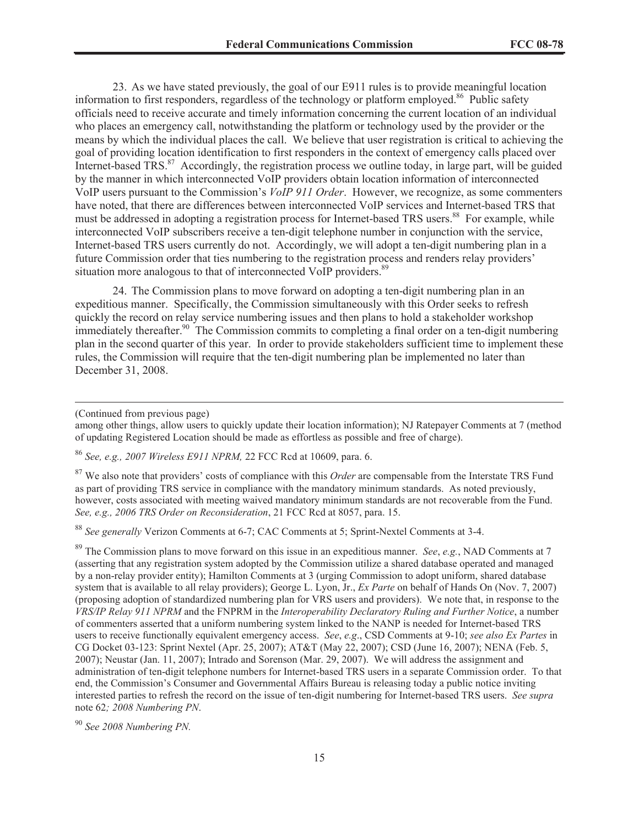23. As we have stated previously, the goal of our E911 rules is to provide meaningful location information to first responders, regardless of the technology or platform employed.<sup>86</sup> Public safety officials need to receive accurate and timely information concerning the current location of an individual who places an emergency call, notwithstanding the platform or technology used by the provider or the means by which the individual places the call. We believe that user registration is critical to achieving the goal of providing location identification to first responders in the context of emergency calls placed over Internet-based TRS.<sup>87</sup> Accordingly, the registration process we outline today, in large part, will be guided by the manner in which interconnected VoIP providers obtain location information of interconnected VoIP users pursuant to the Commission's *VoIP 911 Order*. However, we recognize, as some commenters have noted, that there are differences between interconnected VoIP services and Internet-based TRS that must be addressed in adopting a registration process for Internet-based TRS users.<sup>88</sup> For example, while interconnected VoIP subscribers receive a ten-digit telephone number in conjunction with the service, Internet-based TRS users currently do not. Accordingly, we will adopt a ten-digit numbering plan in a future Commission order that ties numbering to the registration process and renders relay providers' situation more analogous to that of interconnected VoIP providers.<sup>89</sup>

24. The Commission plans to move forward on adopting a ten-digit numbering plan in an expeditious manner. Specifically, the Commission simultaneously with this Order seeks to refresh quickly the record on relay service numbering issues and then plans to hold a stakeholder workshop immediately thereafter.<sup>90</sup> The Commission commits to completing a final order on a ten-digit numbering plan in the second quarter of this year. In order to provide stakeholders sufficient time to implement these rules, the Commission will require that the ten-digit numbering plan be implemented no later than December 31, 2008.

<sup>86</sup> *See, e.g., 2007 Wireless E911 NPRM,* 22 FCC Rcd at 10609, para. 6.

<sup>87</sup> We also note that providers' costs of compliance with this *Order* are compensable from the Interstate TRS Fund as part of providing TRS service in compliance with the mandatory minimum standards. As noted previously, however, costs associated with meeting waived mandatory minimum standards are not recoverable from the Fund. *See, e.g., 2006 TRS Order on Reconsideration*, 21 FCC Rcd at 8057, para. 15.

<sup>88</sup> *See generally* Verizon Comments at 6-7; CAC Comments at 5; Sprint-Nextel Comments at 3-4.

<sup>89</sup> The Commission plans to move forward on this issue in an expeditious manner. *See*, *e.g.*, NAD Comments at 7 (asserting that any registration system adopted by the Commission utilize a shared database operated and managed by a non-relay provider entity); Hamilton Comments at 3 (urging Commission to adopt uniform, shared database system that is available to all relay providers); George L. Lyon, Jr., *Ex Parte* on behalf of Hands On (Nov. 7, 2007) (proposing adoption of standardized numbering plan for VRS users and providers). We note that, in response to the *VRS/IP Relay 911 NPRM* and the FNPRM in the *Interoperability Declaratory Ruling and Further Notice*, a number of commenters asserted that a uniform numbering system linked to the NANP is needed for Internet-based TRS users to receive functionally equivalent emergency access. *See*, *e.g*., CSD Comments at 9-10; *see also Ex Partes* in CG Docket 03-123: Sprint Nextel (Apr. 25, 2007); AT&T (May 22, 2007); CSD (June 16, 2007); NENA (Feb. 5, 2007); Neustar (Jan. 11, 2007); Intrado and Sorenson (Mar. 29, 2007). We will address the assignment and administration of ten-digit telephone numbers for Internet-based TRS users in a separate Commission order. To that end, the Commission's Consumer and Governmental Affairs Bureau is releasing today a public notice inviting interested parties to refresh the record on the issue of ten-digit numbering for Internet-based TRS users. *See supra*  note 62*; 2008 Numbering PN*.

<sup>90</sup> *See 2008 Numbering PN.*

<sup>(</sup>Continued from previous page)

among other things, allow users to quickly update their location information); NJ Ratepayer Comments at 7 (method of updating Registered Location should be made as effortless as possible and free of charge).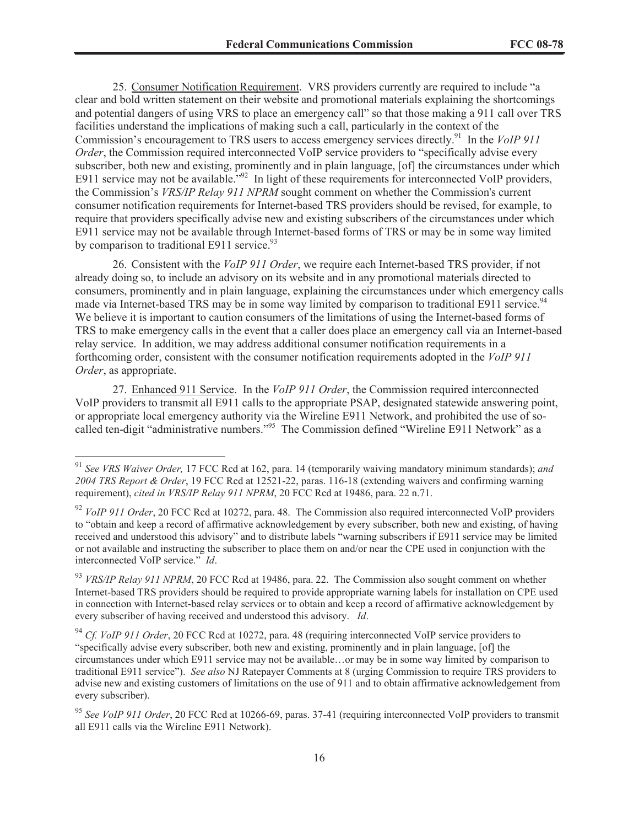25. Consumer Notification Requirement. VRS providers currently are required to include "a clear and bold written statement on their website and promotional materials explaining the shortcomings and potential dangers of using VRS to place an emergency call" so that those making a 911 call over TRS facilities understand the implications of making such a call, particularly in the context of the Commission's encouragement to TRS users to access emergency services directly.<sup>91</sup> In the *VoIP 911 Order*, the Commission required interconnected VoIP service providers to "specifically advise every subscriber, both new and existing, prominently and in plain language, [of] the circumstances under which E911 service may not be available.<sup>"92</sup> In light of these requirements for interconnected VoIP providers, the Commission's *VRS/IP Relay 911 NPRM* sought comment on whether the Commission's current consumer notification requirements for Internet-based TRS providers should be revised, for example, to require that providers specifically advise new and existing subscribers of the circumstances under which E911 service may not be available through Internet-based forms of TRS or may be in some way limited by comparison to traditional E911 service.  $93$ 

26. Consistent with the *VoIP 911 Order*, we require each Internet-based TRS provider, if not already doing so, to include an advisory on its website and in any promotional materials directed to consumers, prominently and in plain language, explaining the circumstances under which emergency calls made via Internet-based TRS may be in some way limited by comparison to traditional E911 service.<sup>94</sup> We believe it is important to caution consumers of the limitations of using the Internet-based forms of TRS to make emergency calls in the event that a caller does place an emergency call via an Internet-based relay service. In addition, we may address additional consumer notification requirements in a forthcoming order, consistent with the consumer notification requirements adopted in the *VoIP 911 Order*, as appropriate.

27. Enhanced 911 Service. In the *VoIP 911 Order*, the Commission required interconnected VoIP providers to transmit all E911 calls to the appropriate PSAP, designated statewide answering point, or appropriate local emergency authority via the Wireline E911 Network, and prohibited the use of socalled ten-digit "administrative numbers."<sup>95</sup> The Commission defined "Wireline E911 Network" as a

<sup>91</sup> *See VRS Waiver Order,* 17 FCC Rcd at 162, para. 14 (temporarily waiving mandatory minimum standards); *and 2004 TRS Report & Order*, 19 FCC Rcd at 12521-22, paras. 116-18 (extending waivers and confirming warning requirement), *cited in VRS/IP Relay 911 NPRM*, 20 FCC Rcd at 19486, para. 22 n.71.

<sup>&</sup>lt;sup>92</sup> *VoIP 911 Order*, 20 FCC Rcd at 10272, para. 48. The Commission also required interconnected VoIP providers to "obtain and keep a record of affirmative acknowledgement by every subscriber, both new and existing, of having received and understood this advisory" and to distribute labels "warning subscribers if E911 service may be limited or not available and instructing the subscriber to place them on and/or near the CPE used in conjunction with the interconnected VoIP service." *Id*.

<sup>&</sup>lt;sup>93</sup> *VRS/IP Relay 911 NPRM*, 20 FCC Rcd at 19486, para. 22. The Commission also sought comment on whether Internet-based TRS providers should be required to provide appropriate warning labels for installation on CPE used in connection with Internet-based relay services or to obtain and keep a record of affirmative acknowledgement by every subscriber of having received and understood this advisory. *Id*.

<sup>94</sup> *Cf. VoIP 911 Order*, 20 FCC Rcd at 10272, para. 48 (requiring interconnected VoIP service providers to "specifically advise every subscriber, both new and existing, prominently and in plain language, [of] the circumstances under which E911 service may not be available…or may be in some way limited by comparison to traditional E911 service"). *See also* NJ Ratepayer Comments at 8 (urging Commission to require TRS providers to advise new and existing customers of limitations on the use of 911 and to obtain affirmative acknowledgement from every subscriber).

<sup>&</sup>lt;sup>95</sup> See VoIP 911 Order, 20 FCC Rcd at 10266-69, paras. 37-41 (requiring interconnected VoIP providers to transmit all E911 calls via the Wireline E911 Network).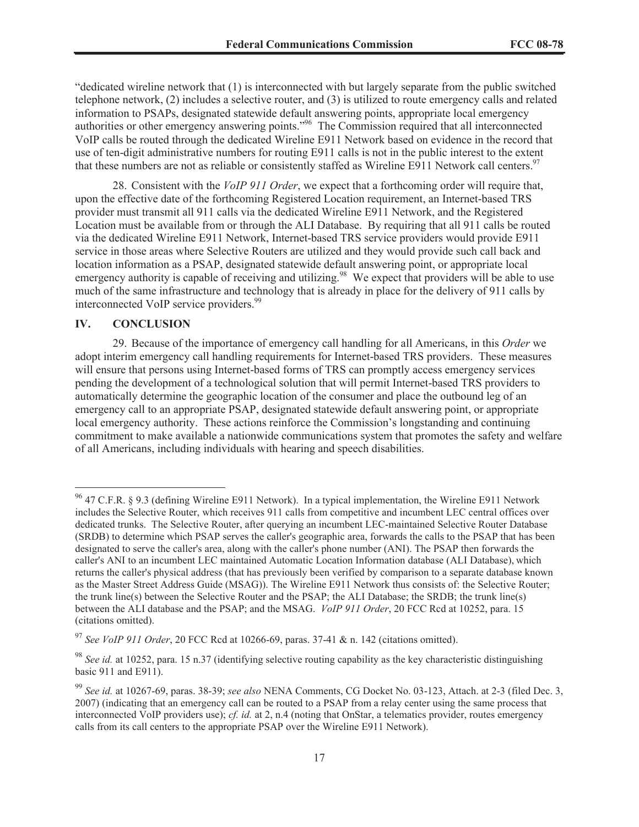"dedicated wireline network that (1) is interconnected with but largely separate from the public switched telephone network, (2) includes a selective router, and (3) is utilized to route emergency calls and related information to PSAPs, designated statewide default answering points, appropriate local emergency authorities or other emergency answering points."<sup>96</sup> The Commission required that all interconnected VoIP calls be routed through the dedicated Wireline E911 Network based on evidence in the record that use of ten-digit administrative numbers for routing E911 calls is not in the public interest to the extent that these numbers are not as reliable or consistently staffed as Wireline E911 Network call centers.<sup>97</sup>

28. Consistent with the *VoIP 911 Order*, we expect that a forthcoming order will require that, upon the effective date of the forthcoming Registered Location requirement, an Internet-based TRS provider must transmit all 911 calls via the dedicated Wireline E911 Network, and the Registered Location must be available from or through the ALI Database. By requiring that all 911 calls be routed via the dedicated Wireline E911 Network, Internet-based TRS service providers would provide E911 service in those areas where Selective Routers are utilized and they would provide such call back and location information as a PSAP, designated statewide default answering point, or appropriate local emergency authority is capable of receiving and utilizing.<sup>98</sup> We expect that providers will be able to use much of the same infrastructure and technology that is already in place for the delivery of 911 calls by interconnected VoIP service providers.<sup>99</sup>

### **IV. CONCLUSION**

29. Because of the importance of emergency call handling for all Americans, in this *Order* we adopt interim emergency call handling requirements for Internet-based TRS providers. These measures will ensure that persons using Internet-based forms of TRS can promptly access emergency services pending the development of a technological solution that will permit Internet-based TRS providers to automatically determine the geographic location of the consumer and place the outbound leg of an emergency call to an appropriate PSAP, designated statewide default answering point, or appropriate local emergency authority. These actions reinforce the Commission's longstanding and continuing commitment to make available a nationwide communications system that promotes the safety and welfare of all Americans, including individuals with hearing and speech disabilities.

<sup>96</sup> 47 C.F.R. § 9.3 (defining Wireline E911 Network). In a typical implementation, the Wireline E911 Network includes the Selective Router, which receives 911 calls from competitive and incumbent LEC central offices over dedicated trunks. The Selective Router, after querying an incumbent LEC-maintained Selective Router Database (SRDB) to determine which PSAP serves the caller's geographic area, forwards the calls to the PSAP that has been designated to serve the caller's area, along with the caller's phone number (ANI). The PSAP then forwards the caller's ANI to an incumbent LEC maintained Automatic Location Information database (ALI Database), which returns the caller's physical address (that has previously been verified by comparison to a separate database known as the Master Street Address Guide (MSAG)). The Wireline E911 Network thus consists of: the Selective Router; the trunk line(s) between the Selective Router and the PSAP; the ALI Database; the SRDB; the trunk line(s) between the ALI database and the PSAP; and the MSAG. *VoIP 911 Order*, 20 FCC Rcd at 10252, para. 15 (citations omitted).

<sup>97</sup> *See VoIP 911 Order*, 20 FCC Rcd at 10266-69, paras. 37-41 & n. 142 (citations omitted).

<sup>98</sup> *See id.* at 10252, para. 15 n.37 (identifying selective routing capability as the key characteristic distinguishing basic 911 and E911).

<sup>99</sup> *See id.* at 10267-69, paras. 38-39; *see also* NENA Comments, CG Docket No. 03-123, Attach. at 2-3 (filed Dec. 3, 2007) (indicating that an emergency call can be routed to a PSAP from a relay center using the same process that interconnected VoIP providers use); *cf. id.* at 2, n.4 (noting that OnStar, a telematics provider, routes emergency calls from its call centers to the appropriate PSAP over the Wireline E911 Network).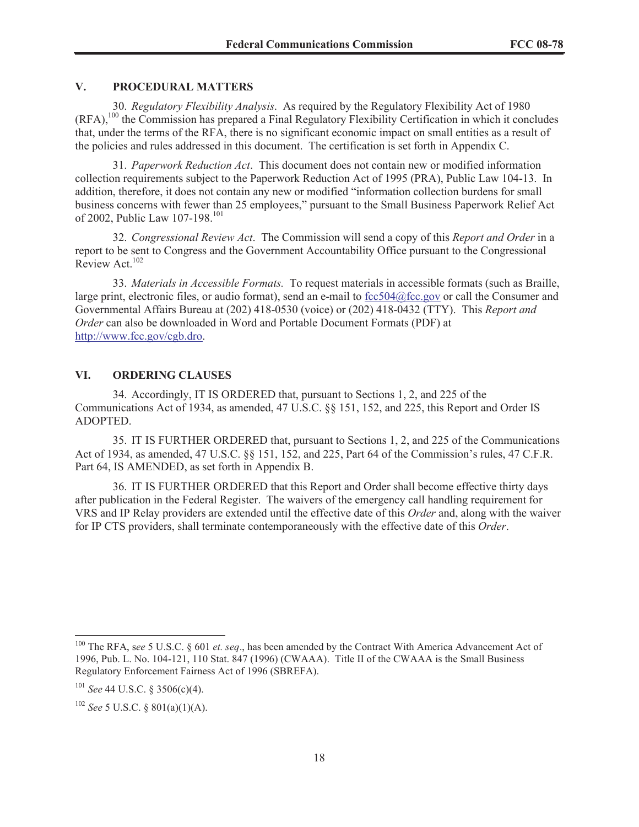### **V. PROCEDURAL MATTERS**

30. *Regulatory Flexibility Analysis*. As required by the Regulatory Flexibility Act of 1980 (RFA),<sup>100</sup> the Commission has prepared a Final Regulatory Flexibility Certification in which it concludes that, under the terms of the RFA, there is no significant economic impact on small entities as a result of the policies and rules addressed in this document. The certification is set forth in Appendix C.

31. *Paperwork Reduction Act*. This document does not contain new or modified information collection requirements subject to the Paperwork Reduction Act of 1995 (PRA), Public Law 104-13. In addition, therefore, it does not contain any new or modified "information collection burdens for small business concerns with fewer than 25 employees," pursuant to the Small Business Paperwork Relief Act of 2002, Public Law 107-198.<sup>101</sup>

32. *Congressional Review Act*. The Commission will send a copy of this *Report and Order* in a report to be sent to Congress and the Government Accountability Office pursuant to the Congressional Review Act.<sup>102</sup>

33. *Materials in Accessible Formats.* To request materials in accessible formats (such as Braille, large print, electronic files, or audio format), send an e-mail to fcc504@fcc.gov or call the Consumer and Governmental Affairs Bureau at (202) 418-0530 (voice) or (202) 418-0432 (TTY). This *Report and Order* can also be downloaded in Word and Portable Document Formats (PDF) at http://www.fcc.gov/cgb.dro.

### **VI. ORDERING CLAUSES**

34. Accordingly, IT IS ORDERED that, pursuant to Sections 1, 2, and 225 of the Communications Act of 1934, as amended, 47 U.S.C. §§ 151, 152, and 225, this Report and Order IS ADOPTED.

35. IT IS FURTHER ORDERED that, pursuant to Sections 1, 2, and 225 of the Communications Act of 1934, as amended, 47 U.S.C. §§ 151, 152, and 225, Part 64 of the Commission's rules, 47 C.F.R. Part 64, IS AMENDED, as set forth in Appendix B.

36. IT IS FURTHER ORDERED that this Report and Order shall become effective thirty days after publication in the Federal Register. The waivers of the emergency call handling requirement for VRS and IP Relay providers are extended until the effective date of this *Order* and, along with the waiver for IP CTS providers, shall terminate contemporaneously with the effective date of this *Order*.

<sup>100</sup> The RFA, s*ee* 5 U.S.C. § 601 *et. seq*., has been amended by the Contract With America Advancement Act of 1996, Pub. L. No. 104-121, 110 Stat. 847 (1996) (CWAAA). Title II of the CWAAA is the Small Business Regulatory Enforcement Fairness Act of 1996 (SBREFA).

<sup>101</sup> *See* 44 U.S.C. § 3506(c)(4).

<sup>102</sup> *See* 5 U.S.C. § 801(a)(1)(A).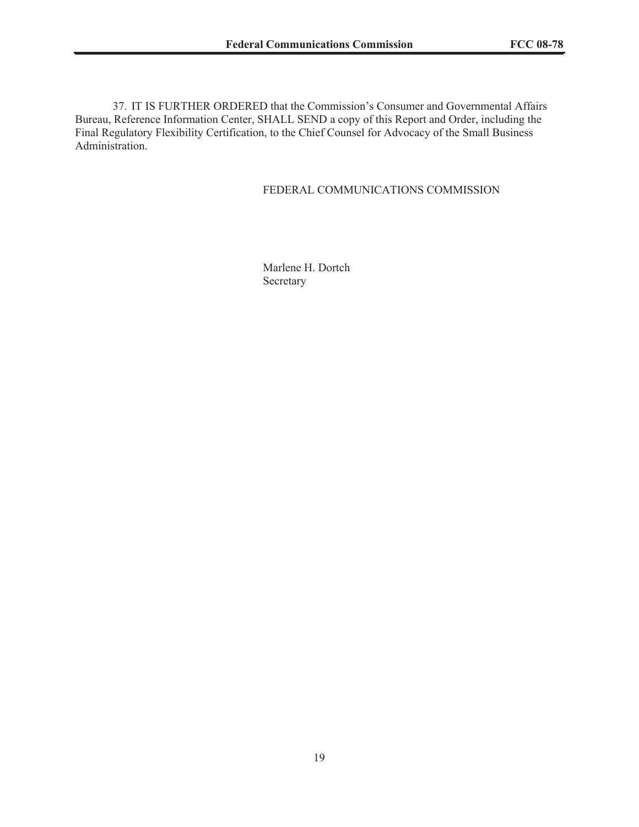37. IT IS FURTHER ORDERED that the Commission's Consumer and Governmental Affairs Bureau, Reference Information Center, SHALL SEND a copy of this Report and Order, including the Final Regulatory Flexibility Certification, to the Chief Counsel for Advocacy of the Small Business Administration.

### FEDERAL COMMUNICATIONS COMMISSION

Marlene H. Dortch Secretary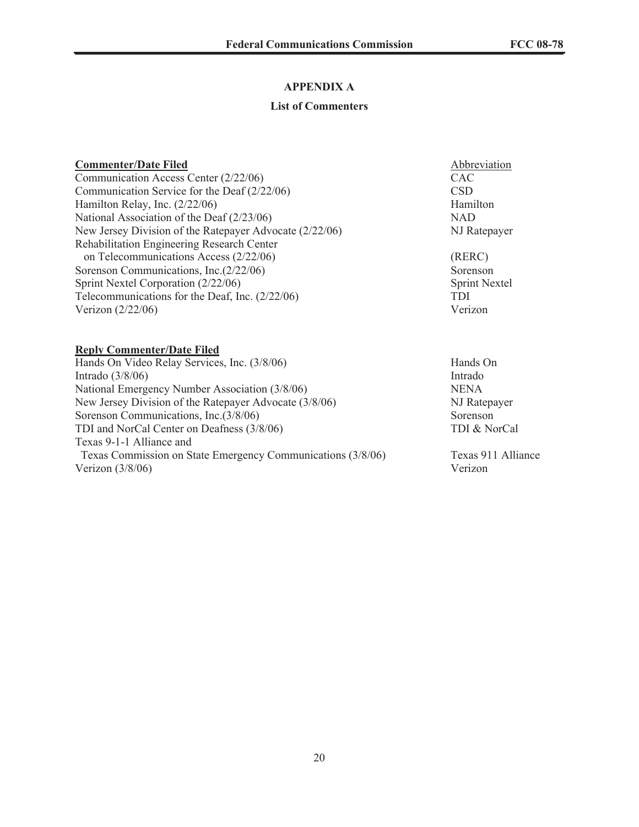# **APPENDIX A**

## **List of Commenters**

| <b>Commenter/Date Filed</b>                             | Abbreviation         |
|---------------------------------------------------------|----------------------|
| Communication Access Center (2/22/06)                   | CAC                  |
| Communication Service for the Deaf $(2/22/06)$          | <b>CSD</b>           |
| Hamilton Relay, Inc. $(2/22/06)$                        | Hamilton             |
| National Association of the Deaf (2/23/06)              | <b>NAD</b>           |
| New Jersey Division of the Ratepayer Advocate (2/22/06) | NJ Ratepayer         |
| Rehabilitation Engineering Research Center              |                      |
| on Telecommunications Access (2/22/06)                  | (RERC)               |
| Sorenson Communications, Inc. (2/22/06)                 | Sorenson             |
| Sprint Nextel Corporation (2/22/06)                     | <b>Sprint Nextel</b> |
| Telecommunications for the Deaf, Inc. $(2/22/06)$       | <b>TDI</b>           |
| Verizon $(2/22/06)$                                     | Verizon              |
| <b>Reply Commenter/Date Filed</b>                       |                      |
| Hands On Video Relay Services, Inc. (3/8/06)            | Hands On             |
| Intrado $(3/8/06)$                                      | Intrado              |
| National Emergency Number Association (3/8/06)          | <b>NENA</b>          |
| New Jersey Division of the Ratepayer Advocate (3/8/06)  | NJ Ratepayer         |

Sorenson Communications, Inc.(3/8/06) Sorenson TDI and NorCal Center on Deafness (3/8/06) TDI & NorCal

Texas 9-1-1 Alliance and

Texas Commission on State Emergency Communications (3/8/06) Texas 911 Alliance<br>Verizon (3/8/06) Verizon Verizon  $(3/8/06)$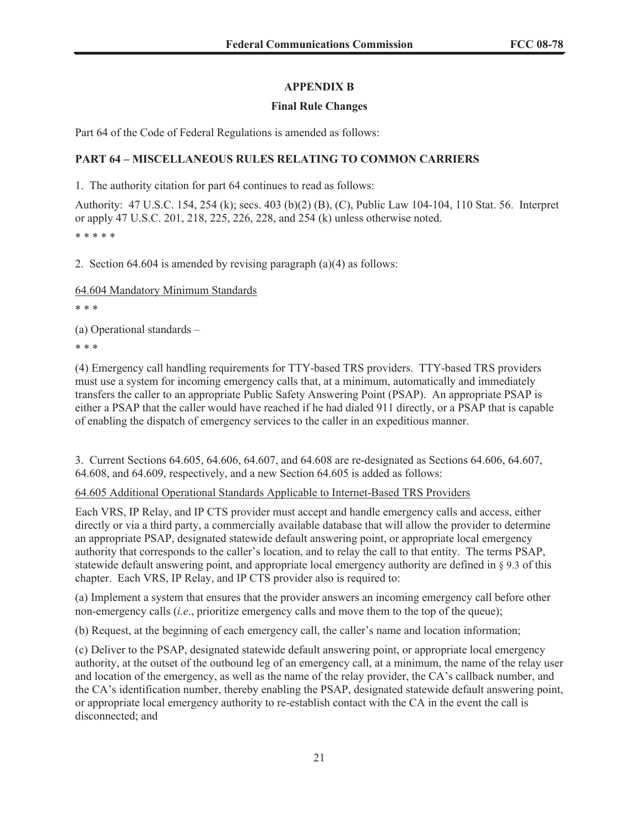# **APPENDIX B**

## **Final Rule Changes**

Part 64 of the Code of Federal Regulations is amended as follows:

# **PART 64 – MISCELLANEOUS RULES RELATING TO COMMON CARRIERS**

1. The authority citation for part 64 continues to read as follows:

Authority: 47 U.S.C. 154, 254 (k); secs. 403 (b)(2) (B), (C), Public Law 104-104, 110 Stat. 56. Interpret or apply 47 U.S.C. 201, 218, 225, 226, 228, and 254 (k) unless otherwise noted. \* \* \* \* \*

2. Section 64.604 is amended by revising paragraph (a)(4) as follows:

64.604 Mandatory Minimum Standards

\* \* \*

(a) Operational standards –

\* \* \*

(4) Emergency call handling requirements for TTY-based TRS providers. TTY-based TRS providers must use a system for incoming emergency calls that, at a minimum, automatically and immediately transfers the caller to an appropriate Public Safety Answering Point (PSAP). An appropriate PSAP is either a PSAP that the caller would have reached if he had dialed 911 directly, or a PSAP that is capable of enabling the dispatch of emergency services to the caller in an expeditious manner.

3. Current Sections 64.605, 64.606, 64.607, and 64.608 are re-designated as Sections 64.606, 64.607, 64.608, and 64.609, respectively, and a new Section 64.605 is added as follows:

### 64.605 Additional Operational Standards Applicable to Internet-Based TRS Providers

Each VRS, IP Relay, and IP CTS provider must accept and handle emergency calls and access, either directly or via a third party, a commercially available database that will allow the provider to determine an appropriate PSAP, designated statewide default answering point, or appropriate local emergency authority that corresponds to the caller's location, and to relay the call to that entity. The terms PSAP, statewide default answering point, and appropriate local emergency authority are defined in § 9.3 of this chapter. Each VRS, IP Relay, and IP CTS provider also is required to:

(a) Implement a system that ensures that the provider answers an incoming emergency call before other non-emergency calls (*i.e*., prioritize emergency calls and move them to the top of the queue);

(b) Request, at the beginning of each emergency call, the caller's name and location information;

(c) Deliver to the PSAP, designated statewide default answering point, or appropriate local emergency authority, at the outset of the outbound leg of an emergency call, at a minimum, the name of the relay user and location of the emergency, as well as the name of the relay provider, the CA's callback number, and the CA's identification number, thereby enabling the PSAP, designated statewide default answering point, or appropriate local emergency authority to re-establish contact with the CA in the event the call is disconnected; and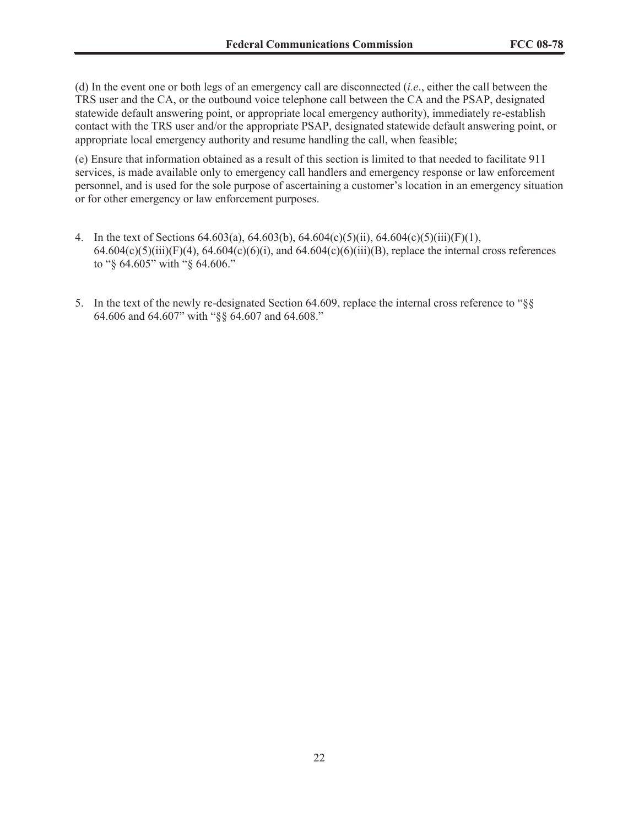(d) In the event one or both legs of an emergency call are disconnected (*i.e*., either the call between the TRS user and the CA, or the outbound voice telephone call between the CA and the PSAP, designated statewide default answering point, or appropriate local emergency authority), immediately re-establish contact with the TRS user and/or the appropriate PSAP, designated statewide default answering point, or appropriate local emergency authority and resume handling the call, when feasible;

(e) Ensure that information obtained as a result of this section is limited to that needed to facilitate 911 services, is made available only to emergency call handlers and emergency response or law enforcement personnel, and is used for the sole purpose of ascertaining a customer's location in an emergency situation or for other emergency or law enforcement purposes.

- 4. In the text of Sections 64.603(a), 64.603(b), 64.604(c)(5)(ii), 64.604(c)(5)(iii)(F)(1),  $64.604(c)(5)(iii)(F)(4)$ ,  $64.604(c)(6)(i)$ , and  $64.604(c)(6)(iii)(B)$ , replace the internal cross references to "§ 64.605" with "§ 64.606."
- 5. In the text of the newly re-designated Section 64.609, replace the internal cross reference to "§§ 64.606 and 64.607" with "§§ 64.607 and 64.608."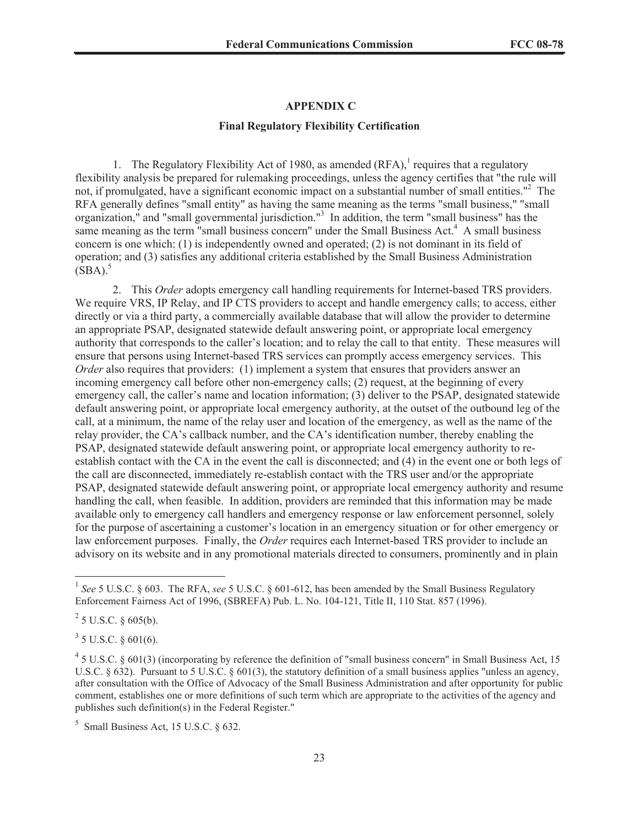#### **APPENDIX C**

#### **Final Regulatory Flexibility Certification**

1. The Regulatory Flexibility Act of 1980, as amended  $(RFA)$ , requires that a regulatory flexibility analysis be prepared for rulemaking proceedings, unless the agency certifies that "the rule will not, if promulgated, have a significant economic impact on a substantial number of small entities."<sup>2</sup> The RFA generally defines "small entity" as having the same meaning as the terms "small business," "small organization," and "small governmental jurisdiction."<sup>3</sup> In addition, the term "small business" has the same meaning as the term "small business concern" under the Small Business Act.<sup>4</sup> A small business concern is one which: (1) is independently owned and operated; (2) is not dominant in its field of operation; and (3) satisfies any additional criteria established by the Small Business Administration  $(SBA).$ <sup>5</sup>

2. This *Order* adopts emergency call handling requirements for Internet-based TRS providers. We require VRS, IP Relay, and IP CTS providers to accept and handle emergency calls; to access, either directly or via a third party, a commercially available database that will allow the provider to determine an appropriate PSAP, designated statewide default answering point, or appropriate local emergency authority that corresponds to the caller's location; and to relay the call to that entity. These measures will ensure that persons using Internet-based TRS services can promptly access emergency services. This *Order* also requires that providers: (1) implement a system that ensures that providers answer an incoming emergency call before other non-emergency calls; (2) request, at the beginning of every emergency call, the caller's name and location information; (3) deliver to the PSAP, designated statewide default answering point, or appropriate local emergency authority, at the outset of the outbound leg of the call, at a minimum, the name of the relay user and location of the emergency, as well as the name of the relay provider, the CA's callback number, and the CA's identification number, thereby enabling the PSAP, designated statewide default answering point, or appropriate local emergency authority to reestablish contact with the CA in the event the call is disconnected; and (4) in the event one or both legs of the call are disconnected, immediately re-establish contact with the TRS user and/or the appropriate PSAP, designated statewide default answering point, or appropriate local emergency authority and resume handling the call, when feasible. In addition, providers are reminded that this information may be made available only to emergency call handlers and emergency response or law enforcement personnel, solely for the purpose of ascertaining a customer's location in an emergency situation or for other emergency or law enforcement purposes. Finally, the *Order* requires each Internet-based TRS provider to include an advisory on its website and in any promotional materials directed to consumers, prominently and in plain

 $2^{2}$  5 U.S.C. § 605(b).

 $3$  5 U.S.C. § 601(6).

<sup>&</sup>lt;sup>1</sup> See 5 U.S.C. § 603. The RFA, see 5 U.S.C. § 601-612, has been amended by the Small Business Regulatory Enforcement Fairness Act of 1996, (SBREFA) Pub. L. No. 104-121, Title II, 110 Stat. 857 (1996).

<sup>&</sup>lt;sup>4</sup> 5 U.S.C. § 601(3) (incorporating by reference the definition of "small business concern" in Small Business Act, 15 U.S.C.  $\S 632$ ). Pursuant to 5 U.S.C.  $\S 601(3)$ , the statutory definition of a small business applies "unless an agency, after consultation with the Office of Advocacy of the Small Business Administration and after opportunity for public comment, establishes one or more definitions of such term which are appropriate to the activities of the agency and publishes such definition(s) in the Federal Register."

 $<sup>5</sup>$  Small Business Act, 15 U.S.C. § 632.</sup>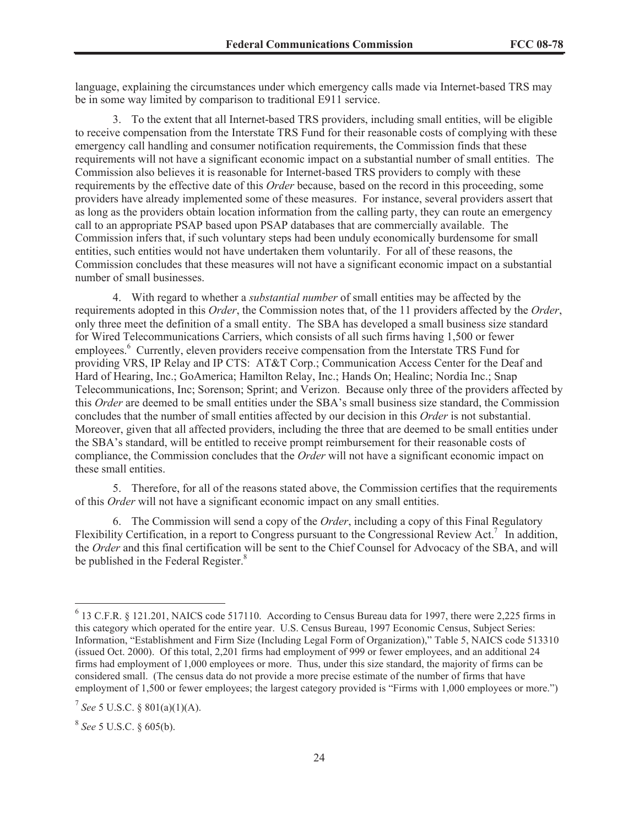language, explaining the circumstances under which emergency calls made via Internet-based TRS may be in some way limited by comparison to traditional E911 service.

3. To the extent that all Internet-based TRS providers, including small entities, will be eligible to receive compensation from the Interstate TRS Fund for their reasonable costs of complying with these emergency call handling and consumer notification requirements, the Commission finds that these requirements will not have a significant economic impact on a substantial number of small entities. The Commission also believes it is reasonable for Internet-based TRS providers to comply with these requirements by the effective date of this *Order* because, based on the record in this proceeding, some providers have already implemented some of these measures. For instance, several providers assert that as long as the providers obtain location information from the calling party, they can route an emergency call to an appropriate PSAP based upon PSAP databases that are commercially available. The Commission infers that, if such voluntary steps had been unduly economically burdensome for small entities, such entities would not have undertaken them voluntarily. For all of these reasons, the Commission concludes that these measures will not have a significant economic impact on a substantial number of small businesses.

4. With regard to whether a *substantial number* of small entities may be affected by the requirements adopted in this *Order*, the Commission notes that, of the 11 providers affected by the *Order*, only three meet the definition of a small entity. The SBA has developed a small business size standard for Wired Telecommunications Carriers, which consists of all such firms having 1,500 or fewer employees.<sup>6</sup> Currently, eleven providers receive compensation from the Interstate TRS Fund for providing VRS, IP Relay and IP CTS: AT&T Corp.; Communication Access Center for the Deaf and Hard of Hearing, Inc.; GoAmerica; Hamilton Relay, Inc.; Hands On; Healinc; Nordia Inc.; Snap Telecommunications, Inc; Sorenson; Sprint; and Verizon. Because only three of the providers affected by this *Order* are deemed to be small entities under the SBA's small business size standard, the Commission concludes that the number of small entities affected by our decision in this *Order* is not substantial. Moreover, given that all affected providers, including the three that are deemed to be small entities under the SBA's standard, will be entitled to receive prompt reimbursement for their reasonable costs of compliance, the Commission concludes that the *Order* will not have a significant economic impact on these small entities.

5. Therefore, for all of the reasons stated above, the Commission certifies that the requirements of this *Order* will not have a significant economic impact on any small entities.

6. The Commission will send a copy of the *Order*, including a copy of this Final Regulatory Flexibility Certification, in a report to Congress pursuant to the Congressional Review Act.<sup>7</sup> In addition, the *Order* and this final certification will be sent to the Chief Counsel for Advocacy of the SBA, and will be published in the Federal Register.<sup>8</sup>

<sup>&</sup>lt;sup>6</sup> 13 C.F.R. § 121.201, NAICS code 517110. According to Census Bureau data for 1997, there were 2,225 firms in this category which operated for the entire year. U.S. Census Bureau, 1997 Economic Census, Subject Series: Information, "Establishment and Firm Size (Including Legal Form of Organization)," Table 5, NAICS code 513310 (issued Oct. 2000). Of this total, 2,201 firms had employment of 999 or fewer employees, and an additional 24 firms had employment of 1,000 employees or more. Thus, under this size standard, the majority of firms can be considered small. (The census data do not provide a more precise estimate of the number of firms that have employment of 1,500 or fewer employees; the largest category provided is "Firms with 1,000 employees or more.")

<sup>7</sup> *See* 5 U.S.C. § 801(a)(1)(A).

<sup>8</sup> *See* 5 U.S.C. § 605(b).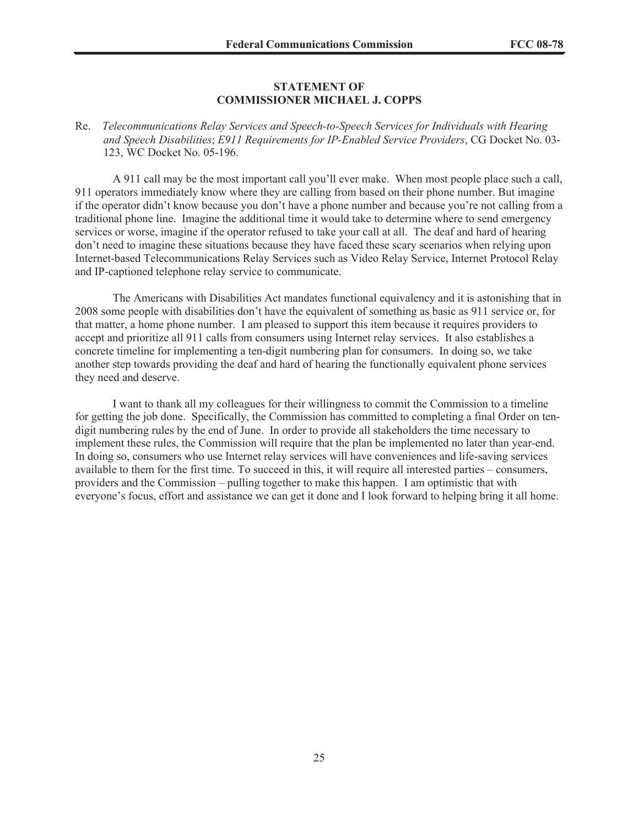#### **STATEMENT OF COMMISSIONER MICHAEL J. COPPS**

### Re. *Telecommunications Relay Services and Speech-to-Speech Services for Individuals with Hearing and Speech Disabilities*; *E911 Requirements for IP-Enabled Service Providers*, CG Docket No. 03- 123, WC Docket No. 05-196.

A 911 call may be the most important call you'll ever make. When most people place such a call, 911 operators immediately know where they are calling from based on their phone number. But imagine if the operator didn't know because you don't have a phone number and because you're not calling from a traditional phone line. Imagine the additional time it would take to determine where to send emergency services or worse, imagine if the operator refused to take your call at all. The deaf and hard of hearing don't need to imagine these situations because they have faced these scary scenarios when relying upon Internet-based Telecommunications Relay Services such as Video Relay Service, Internet Protocol Relay and IP-captioned telephone relay service to communicate.

The Americans with Disabilities Act mandates functional equivalency and it is astonishing that in 2008 some people with disabilities don't have the equivalent of something as basic as 911 service or, for that matter, a home phone number. I am pleased to support this item because it requires providers to accept and prioritize all 911 calls from consumers using Internet relay services. It also establishes a concrete timeline for implementing a ten-digit numbering plan for consumers. In doing so, we take another step towards providing the deaf and hard of hearing the functionally equivalent phone services they need and deserve.

I want to thank all my colleagues for their willingness to commit the Commission to a timeline for getting the job done. Specifically, the Commission has committed to completing a final Order on tendigit numbering rules by the end of June. In order to provide all stakeholders the time necessary to implement these rules, the Commission will require that the plan be implemented no later than year-end. In doing so, consumers who use Internet relay services will have conveniences and life-saving services available to them for the first time. To succeed in this, it will require all interested parties – consumers, providers and the Commission – pulling together to make this happen. I am optimistic that with everyone's focus, effort and assistance we can get it done and I look forward to helping bring it all home.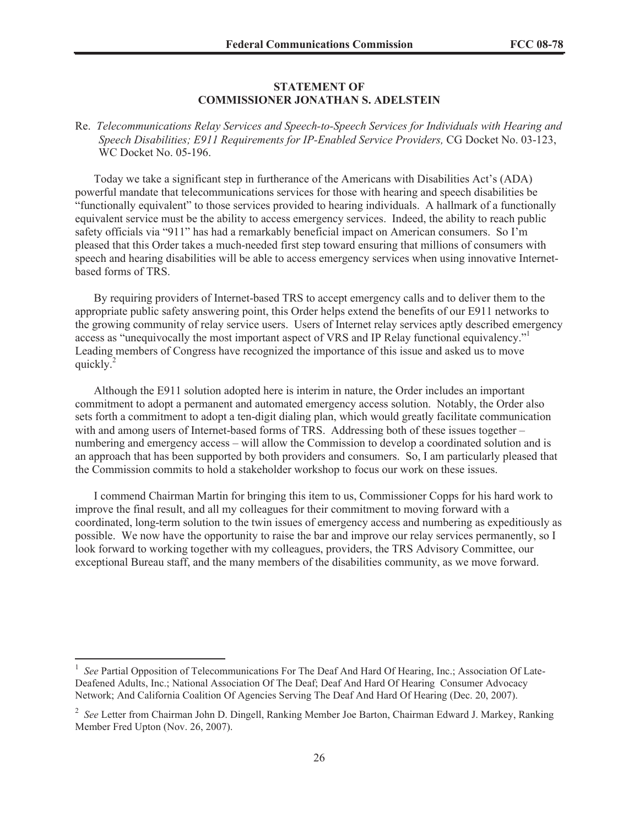### **STATEMENT OF COMMISSIONER JONATHAN S. ADELSTEIN**

Re. *Telecommunications Relay Services and Speech-to-Speech Services for Individuals with Hearing and Speech Disabilities; E911 Requirements for IP-Enabled Service Providers,* CG Docket No. 03-123, WC Docket No. 05-196.

Today we take a significant step in furtherance of the Americans with Disabilities Act's (ADA) powerful mandate that telecommunications services for those with hearing and speech disabilities be "functionally equivalent" to those services provided to hearing individuals. A hallmark of a functionally equivalent service must be the ability to access emergency services. Indeed, the ability to reach public safety officials via "911" has had a remarkably beneficial impact on American consumers. So I'm pleased that this Order takes a much-needed first step toward ensuring that millions of consumers with speech and hearing disabilities will be able to access emergency services when using innovative Internetbased forms of TRS.

By requiring providers of Internet-based TRS to accept emergency calls and to deliver them to the appropriate public safety answering point, this Order helps extend the benefits of our E911 networks to the growing community of relay service users. Users of Internet relay services aptly described emergency access as "unequivocally the most important aspect of VRS and IP Relay functional equivalency."<sup>1</sup> Leading members of Congress have recognized the importance of this issue and asked us to move quickly.<sup>2</sup>

Although the E911 solution adopted here is interim in nature, the Order includes an important commitment to adopt a permanent and automated emergency access solution. Notably, the Order also sets forth a commitment to adopt a ten-digit dialing plan, which would greatly facilitate communication with and among users of Internet-based forms of TRS. Addressing both of these issues together – numbering and emergency access – will allow the Commission to develop a coordinated solution and is an approach that has been supported by both providers and consumers. So, I am particularly pleased that the Commission commits to hold a stakeholder workshop to focus our work on these issues.

I commend Chairman Martin for bringing this item to us, Commissioner Copps for his hard work to improve the final result, and all my colleagues for their commitment to moving forward with a coordinated, long-term solution to the twin issues of emergency access and numbering as expeditiously as possible. We now have the opportunity to raise the bar and improve our relay services permanently, so I look forward to working together with my colleagues, providers, the TRS Advisory Committee, our exceptional Bureau staff, and the many members of the disabilities community, as we move forward.

<sup>1</sup> *See* Partial Opposition of Telecommunications For The Deaf And Hard Of Hearing, Inc.; Association Of Late-Deafened Adults, Inc.; National Association Of The Deaf; Deaf And Hard Of Hearing Consumer Advocacy Network; And California Coalition Of Agencies Serving The Deaf And Hard Of Hearing (Dec. 20, 2007).

<sup>2</sup> *See* Letter from Chairman John D. Dingell, Ranking Member Joe Barton, Chairman Edward J. Markey, Ranking Member Fred Upton (Nov. 26, 2007).